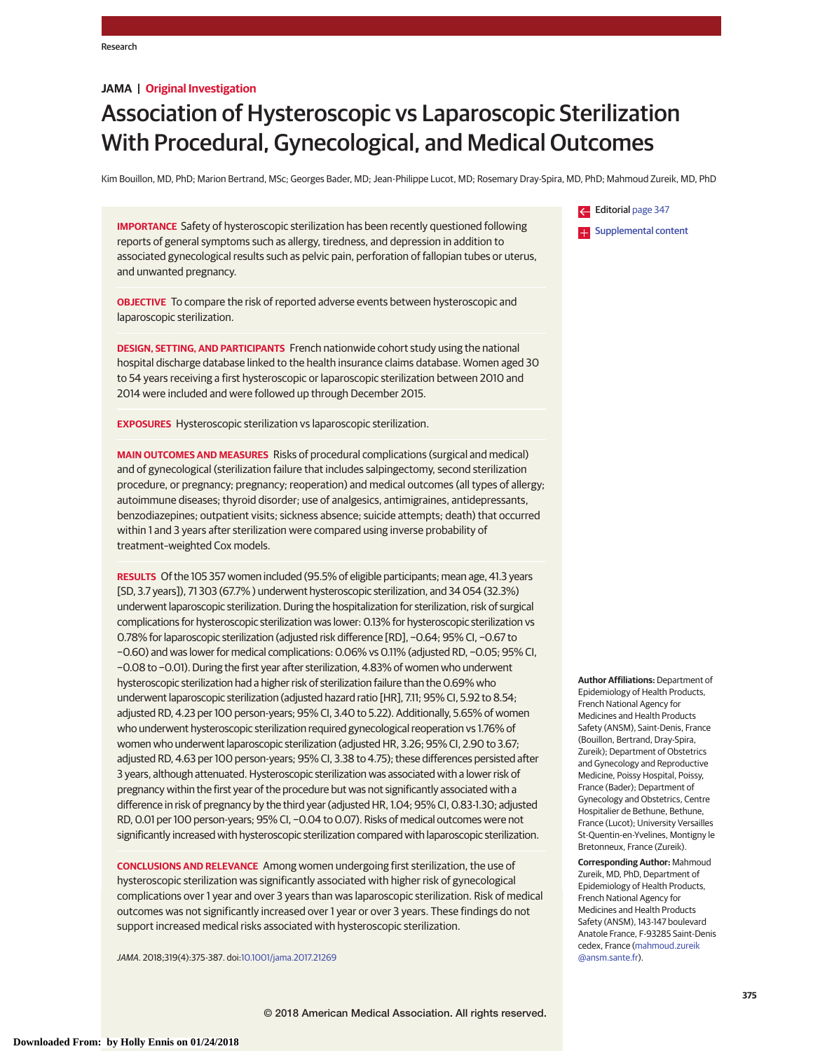# **JAMA | Original Investigation**

# Association of Hysteroscopic vs Laparoscopic Sterilization With Procedural, Gynecological, and Medical Outcomes

Kim Bouillon, MD, PhD; Marion Bertrand, MSc; Georges Bader, MD; Jean-Philippe Lucot, MD; Rosemary Dray-Spira, MD, PhD; Mahmoud Zureik, MD, PhD

**IMPORTANCE** Safety of hysteroscopic sterilization has been recently questioned following reports of general symptoms such as allergy, tiredness, and depression in addition to associated gynecological results such as pelvic pain, perforation of fallopian tubes or uterus, and unwanted pregnancy.

**OBJECTIVE** To compare the risk of reported adverse events between hysteroscopic and laparoscopic sterilization.

**DESIGN, SETTING, AND PARTICIPANTS** French nationwide cohort study using the national hospital discharge database linked to the health insurance claims database. Women aged 30 to 54 years receiving a first hysteroscopic or laparoscopic sterilization between 2010 and 2014 were included and were followed up through December 2015.

**EXPOSURES** Hysteroscopic sterilization vs laparoscopic sterilization.

**MAIN OUTCOMES AND MEASURES** Risks of procedural complications (surgical and medical) and of gynecological (sterilization failure that includes salpingectomy, second sterilization procedure, or pregnancy; pregnancy; reoperation) and medical outcomes (all types of allergy; autoimmune diseases; thyroid disorder; use of analgesics, antimigraines, antidepressants, benzodiazepines; outpatient visits; sickness absence; suicide attempts; death) that occurred within 1 and 3 years after sterilization were compared using inverse probability of treatment–weighted Cox models.

**RESULTS** Of the 105 357 women included (95.5% of eligible participants; mean age, 41.3 years [SD, 3.7 years]), 71 303 (67.7% ) underwent hysteroscopic sterilization, and 34 054 (32.3%) underwent laparoscopic sterilization. During the hospitalization for sterilization, risk of surgical complications for hysteroscopic sterilization was lower: 0.13% for hysteroscopic sterilization vs 0.78% for laparoscopic sterilization (adjusted risk difference [RD], −0.64; 95% CI, −0.67 to −0.60) and was lower for medical complications: 0.06% vs 0.11% (adjusted RD, −0.05; 95% CI, −0.08 to −0.01). During the first year after sterilization, 4.83% of women who underwent hysteroscopic sterilization had a higher risk of sterilization failure than the 0.69% who underwent laparoscopic sterilization (adjusted hazard ratio [HR], 7.11; 95% CI, 5.92 to 8.54; adjusted RD, 4.23 per 100 person-years; 95% CI, 3.40 to 5.22). Additionally, 5.65% of women who underwent hysteroscopic sterilization required gynecological reoperation vs 1.76% of women who underwent laparoscopic sterilization (adjusted HR, 3.26; 95% CI, 2.90 to 3.67; adjusted RD, 4.63 per 100 person-years; 95% CI, 3.38 to 4.75); these differences persisted after 3 years, although attenuated. Hysteroscopic sterilization was associated with a lower risk of pregnancy within the first year of the procedure but was not significantly associated with a difference in risk of pregnancy by the third year (adjusted HR, 1.04; 95% CI, 0.83-1.30; adjusted RD, 0.01 per 100 person-years; 95% CI, −0.04 to 0.07). Risks of medical outcomes were not significantly increased with hysteroscopic sterilization compared with laparoscopic sterilization.

**CONCLUSIONS AND RELEVANCE** Among women undergoing first sterilization, the use of hysteroscopic sterilization was significantly associated with higher risk of gynecological complications over 1 year and over 3 years than was laparoscopic sterilization. Risk of medical outcomes was not significantly increased over 1 year or over 3 years. These findings do not support increased medical risks associated with hysteroscopic sterilization.

JAMA. 2018;319(4):375-387. doi:10.1001/jama.2017.21269

Editorial page 347 **Examplemental content** 

**Author Affiliations:** Department of Epidemiology of Health Products, French National Agency for Medicines and Health Products Safety (ANSM), Saint-Denis, France (Bouillon, Bertrand, Dray-Spira, Zureik); Department of Obstetrics and Gynecology and Reproductive Medicine, Poissy Hospital, Poissy, France (Bader); Department of Gynecology and Obstetrics, Centre Hospitalier de Bethune, Bethune, France (Lucot); University Versailles St-Quentin-en-Yvelines, Montigny le Bretonneux, France (Zureik).

**Corresponding Author:** Mahmoud Zureik, MD, PhD, Department of Epidemiology of Health Products, French National Agency for Medicines and Health Products Safety (ANSM), 143-147 boulevard Anatole France, F-93285 Saint-Denis cedex, France (mahmoud.zureik @ansm.sante.fr).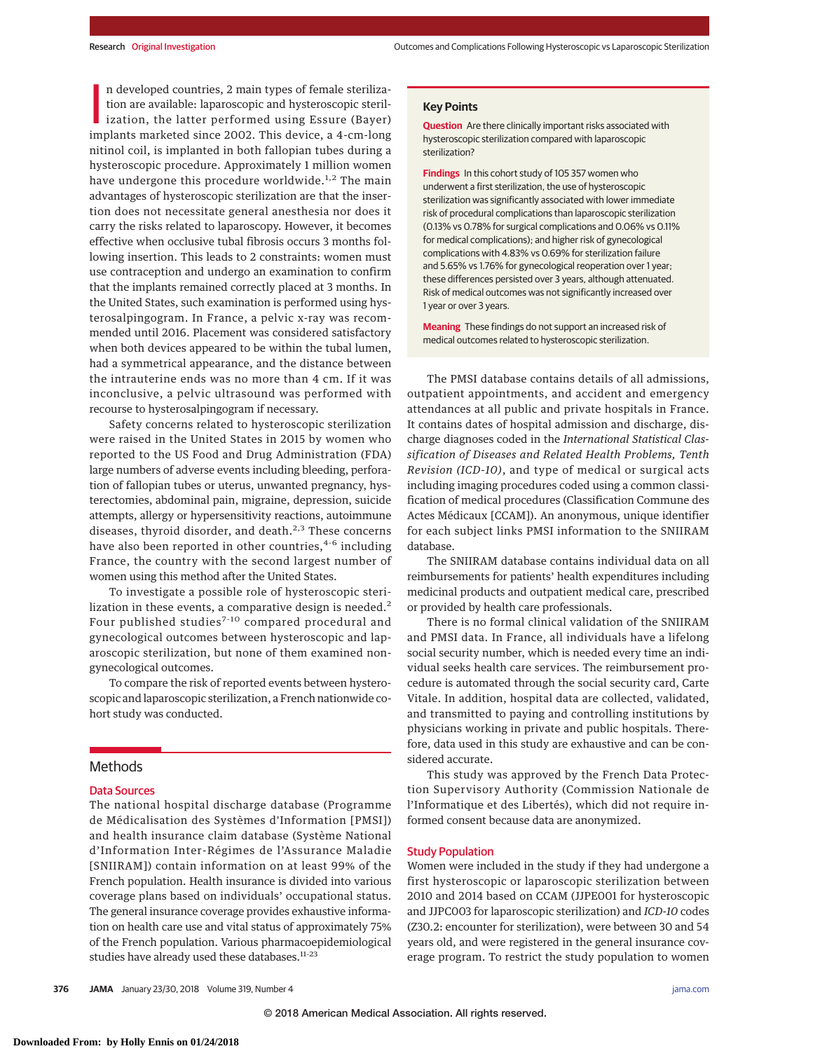n developed countries, 2 main types of female sterilization are available: laparoscopic and hysteroscopic sterilization, the latter performed using Essure (Bayer) implants marketed since 2002. This device, a 4-cm-long n developed countries, 2 main types of female sterilization are available: laparoscopic and hysteroscopic sterilization, the latter performed using Essure (Bayer) nitinol coil, is implanted in both fallopian tubes during a hysteroscopic procedure. Approximately 1 million women have undergone this procedure worldwide.<sup>1,2</sup> The main advantages of hysteroscopic sterilization are that the insertion does not necessitate general anesthesia nor does it carry the risks related to laparoscopy. However, it becomes effective when occlusive tubal fibrosis occurs 3 months following insertion. This leads to 2 constraints: women must use contraception and undergo an examination to confirm that the implants remained correctly placed at 3 months. In the United States, such examination is performed using hysterosalpingogram. In France, a pelvic x-ray was recommended until 2016. Placement was considered satisfactory when both devices appeared to be within the tubal lumen, had a symmetrical appearance, and the distance between the intrauterine ends was no more than 4 cm. If it was inconclusive, a pelvic ultrasound was performed with recourse to hysterosalpingogram if necessary.

Safety concerns related to hysteroscopic sterilization were raised in the United States in 2015 by women who reported to the US Food and Drug Administration (FDA) large numbers of adverse events including bleeding, perforation of fallopian tubes or uterus, unwanted pregnancy, hysterectomies, abdominal pain, migraine, depression, suicide attempts, allergy or hypersensitivity reactions, autoimmune diseases, thyroid disorder, and death.<sup>2,3</sup> These concerns have also been reported in other countries, 4-6 including France, the country with the second largest number of women using this method after the United States.

To investigate a possible role of hysteroscopic sterilization in these events, a comparative design is needed.<sup>2</sup> Four published studies<sup>7-10</sup> compared procedural and gynecological outcomes between hysteroscopic and laparoscopic sterilization, but none of them examined nongynecological outcomes.

To compare the risk of reported events between hysteroscopic and laparoscopic sterilization, a French nationwide cohort study was conducted.

# **Methods**

#### Data Sources

The national hospital discharge database (Programme de Médicalisation des Systèmes d'Information [PMSI]) and health insurance claim database (Système National d'Information Inter-Régimes de l'Assurance Maladie [SNIIRAM]) contain information on at least 99% of the French population. Health insurance is divided into various coverage plans based on individuals' occupational status. The general insurance coverage provides exhaustive information on health care use and vital status of approximately 75% of the French population. Various pharmacoepidemiological studies have already used these databases.<sup>11-23</sup>

**Question** Are there clinically important risks associated with hysteroscopic sterilization compared with laparoscopic sterilization?

**Findings** In this cohort study of 105 357 women who underwent a first sterilization, the use of hysteroscopic sterilization was significantly associated with lower immediate risk of procedural complications than laparoscopic sterilization (0.13% vs 0.78% for surgical complications and 0.06% vs 0.11% for medical complications); and higher risk of gynecological complications with 4.83% vs 0.69% for sterilization failure and 5.65% vs 1.76% for gynecological reoperation over 1 year; these differences persisted over 3 years, although attenuated. Risk of medical outcomes was not significantly increased over 1 year or over 3 years.

**Meaning** These findings do not support an increased risk of medical outcomes related to hysteroscopic sterilization.

The PMSI database contains details of all admissions, outpatient appointments, and accident and emergency attendances at all public and private hospitals in France. It contains dates of hospital admission and discharge, discharge diagnoses coded in the *International Statistical Classification of Diseases and Related Health Problems, Tenth Revision (ICD-10)*, and type of medical or surgical acts including imaging procedures coded using a common classification of medical procedures (Classification Commune des Actes Médicaux [CCAM]). An anonymous, unique identifier for each subject links PMSI information to the SNIIRAM database.

The SNIIRAM database contains individual data on all reimbursements for patients' health expenditures including medicinal products and outpatient medical care, prescribed or provided by health care professionals.

There is no formal clinical validation of the SNIIRAM and PMSI data. In France, all individuals have a lifelong social security number, which is needed every time an individual seeks health care services. The reimbursement procedure is automated through the social security card, Carte Vitale. In addition, hospital data are collected, validated, and transmitted to paying and controlling institutions by physicians working in private and public hospitals. Therefore, data used in this study are exhaustive and can be considered accurate.

This study was approved by the French Data Protection Supervisory Authority (Commission Nationale de l'Informatique et des Libertés), which did not require informed consent because data are anonymized.

### Study Population

Women were included in the study if they had undergone a first hysteroscopic or laparoscopic sterilization between 2010 and 2014 based on CCAM (JJPE001 for hysteroscopic and JJPC003 for laparoscopic sterilization) and *ICD-10* codes (Z30.2: encounter for sterilization), were between 30 and 54 years old, and were registered in the general insurance coverage program. To restrict the study population to women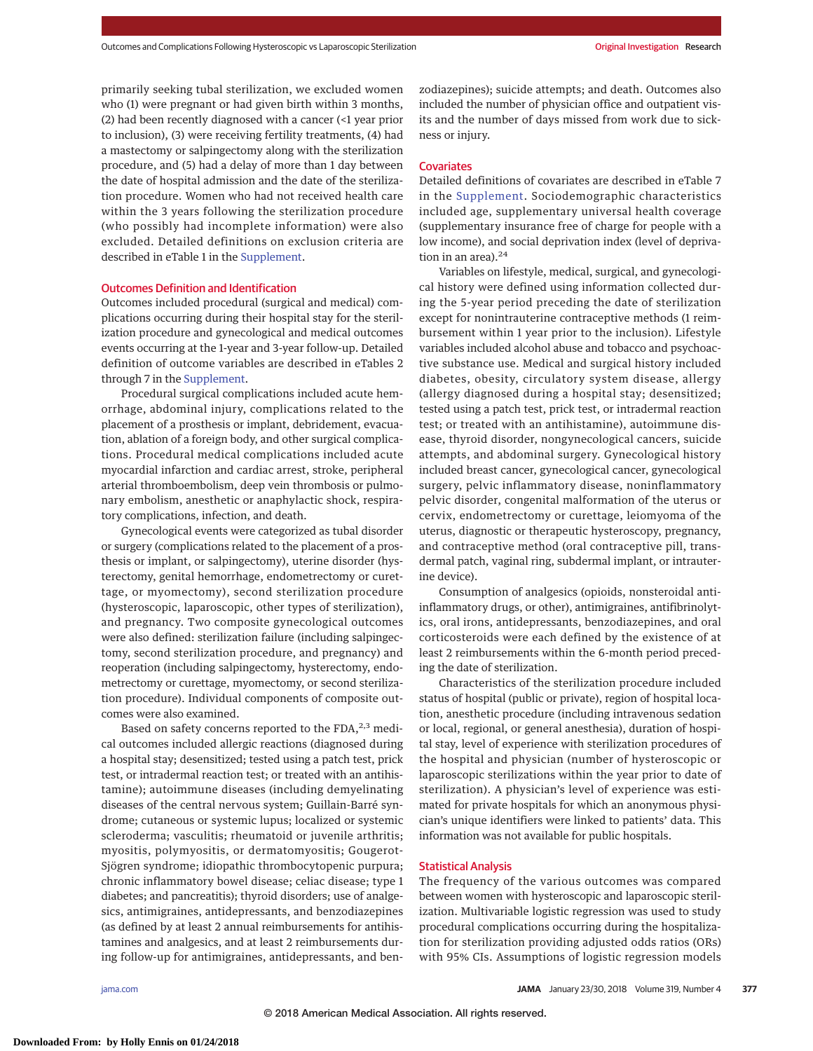primarily seeking tubal sterilization, we excluded women who (1) were pregnant or had given birth within 3 months, (2) had been recently diagnosed with a cancer (<1 year prior to inclusion), (3) were receiving fertility treatments, (4) had a mastectomy or salpingectomy along with the sterilization procedure, and (5) had a delay of more than 1 day between the date of hospital admission and the date of the sterilization procedure. Women who had not received health care within the 3 years following the sterilization procedure (who possibly had incomplete information) were also excluded. Detailed definitions on exclusion criteria are described in eTable 1 in the Supplement.

#### Outcomes Definition and Identification

Outcomes included procedural (surgical and medical) complications occurring during their hospital stay for the sterilization procedure and gynecological and medical outcomes events occurring at the 1-year and 3-year follow-up. Detailed definition of outcome variables are described in eTables 2 through 7 in the Supplement.

Procedural surgical complications included acute hemorrhage, abdominal injury, complications related to the placement of a prosthesis or implant, debridement, evacuation, ablation of a foreign body, and other surgical complications. Procedural medical complications included acute myocardial infarction and cardiac arrest, stroke, peripheral arterial thromboembolism, deep vein thrombosis or pulmonary embolism, anesthetic or anaphylactic shock, respiratory complications, infection, and death.

Gynecological events were categorized as tubal disorder or surgery (complications related to the placement of a prosthesis or implant, or salpingectomy), uterine disorder (hysterectomy, genital hemorrhage, endometrectomy or curettage, or myomectomy), second sterilization procedure (hysteroscopic, laparoscopic, other types of sterilization), and pregnancy. Two composite gynecological outcomes were also defined: sterilization failure (including salpingectomy, second sterilization procedure, and pregnancy) and reoperation (including salpingectomy, hysterectomy, endometrectomy or curettage, myomectomy, or second sterilization procedure). Individual components of composite outcomes were also examined.

Based on safety concerns reported to the FDA, $^{2,3}$  medical outcomes included allergic reactions (diagnosed during a hospital stay; desensitized; tested using a patch test, prick test, or intradermal reaction test; or treated with an antihistamine); autoimmune diseases (including demyelinating diseases of the central nervous system; Guillain-Barré syndrome; cutaneous or systemic lupus; localized or systemic scleroderma; vasculitis; rheumatoid or juvenile arthritis; myositis, polymyositis, or dermatomyositis; Gougerot-Sjögren syndrome; idiopathic thrombocytopenic purpura; chronic inflammatory bowel disease; celiac disease; type 1 diabetes; and pancreatitis); thyroid disorders; use of analgesics, antimigraines, antidepressants, and benzodiazepines (as defined by at least 2 annual reimbursements for antihistamines and analgesics, and at least 2 reimbursements during follow-up for antimigraines, antidepressants, and benzodiazepines); suicide attempts; and death. Outcomes also included the number of physician office and outpatient visits and the number of days missed from work due to sickness or injury.

#### **Covariates**

Detailed definitions of covariates are described in eTable 7 in the Supplement. Sociodemographic characteristics included age, supplementary universal health coverage (supplementary insurance free of charge for people with a low income), and social deprivation index (level of deprivation in an area). $24$ 

Variables on lifestyle, medical, surgical, and gynecological history were defined using information collected during the 5-year period preceding the date of sterilization except for nonintrauterine contraceptive methods (1 reimbursement within 1 year prior to the inclusion). Lifestyle variables included alcohol abuse and tobacco and psychoactive substance use. Medical and surgical history included diabetes, obesity, circulatory system disease, allergy (allergy diagnosed during a hospital stay; desensitized; tested using a patch test, prick test, or intradermal reaction test; or treated with an antihistamine), autoimmune disease, thyroid disorder, nongynecological cancers, suicide attempts, and abdominal surgery. Gynecological history included breast cancer, gynecological cancer, gynecological surgery, pelvic inflammatory disease, noninflammatory pelvic disorder, congenital malformation of the uterus or cervix, endometrectomy or curettage, leiomyoma of the uterus, diagnostic or therapeutic hysteroscopy, pregnancy, and contraceptive method (oral contraceptive pill, transdermal patch, vaginal ring, subdermal implant, or intrauterine device).

Consumption of analgesics (opioids, nonsteroidal antiinflammatory drugs, or other), antimigraines, antifibrinolytics, oral irons, antidepressants, benzodiazepines, and oral corticosteroids were each defined by the existence of at least 2 reimbursements within the 6-month period preceding the date of sterilization.

Characteristics of the sterilization procedure included status of hospital (public or private), region of hospital location, anesthetic procedure (including intravenous sedation or local, regional, or general anesthesia), duration of hospital stay, level of experience with sterilization procedures of the hospital and physician (number of hysteroscopic or laparoscopic sterilizations within the year prior to date of sterilization). A physician's level of experience was estimated for private hospitals for which an anonymous physician's unique identifiers were linked to patients' data. This information was not available for public hospitals.

#### Statistical Analysis

The frequency of the various outcomes was compared between women with hysteroscopic and laparoscopic sterilization. Multivariable logistic regression was used to study procedural complications occurring during the hospitalization for sterilization providing adjusted odds ratios (ORs) with 95% CIs. Assumptions of logistic regression models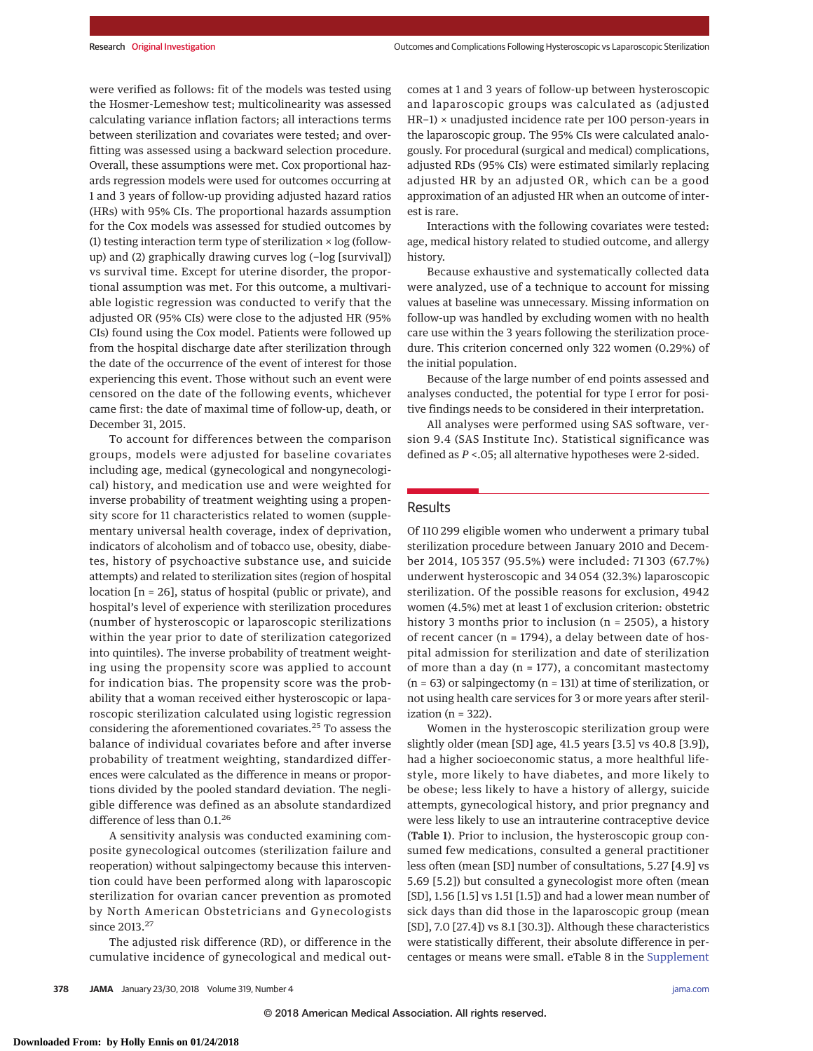were verified as follows: fit of the models was tested using the Hosmer-Lemeshow test; multicolinearity was assessed calculating variance inflation factors; all interactions terms between sterilization and covariates were tested; and overfitting was assessed using a backward selection procedure. Overall, these assumptions were met. Cox proportional hazards regression models were used for outcomes occurring at 1 and 3 years of follow-up providing adjusted hazard ratios (HRs) with 95% CIs. The proportional hazards assumption for the Cox models was assessed for studied outcomes by (1) testing interaction term type of sterilization  $\times$  log (followup) and (2) graphically drawing curves log (−log [survival]) vs survival time. Except for uterine disorder, the proportional assumption was met. For this outcome, a multivariable logistic regression was conducted to verify that the adjusted OR (95% CIs) were close to the adjusted HR (95% CIs) found using the Cox model. Patients were followed up from the hospital discharge date after sterilization through the date of the occurrence of the event of interest for those experiencing this event. Those without such an event were censored on the date of the following events, whichever came first: the date of maximal time of follow-up, death, or December 31, 2015.

To account for differences between the comparison groups, models were adjusted for baseline covariates including age, medical (gynecological and nongynecological) history, and medication use and were weighted for inverse probability of treatment weighting using a propensity score for 11 characteristics related to women (supplementary universal health coverage, index of deprivation, indicators of alcoholism and of tobacco use, obesity, diabetes, history of psychoactive substance use, and suicide attempts) and related to sterilization sites (region of hospital location [n = 26], status of hospital (public or private), and hospital's level of experience with sterilization procedures (number of hysteroscopic or laparoscopic sterilizations within the year prior to date of sterilization categorized into quintiles). The inverse probability of treatment weighting using the propensity score was applied to account for indication bias. The propensity score was the probability that a woman received either hysteroscopic or laparoscopic sterilization calculated using logistic regression considering the aforementioned covariates.<sup>25</sup> To assess the balance of individual covariates before and after inverse probability of treatment weighting, standardized differences were calculated as the difference in means or proportions divided by the pooled standard deviation. The negligible difference was defined as an absolute standardized difference of less than 0.1.<sup>26</sup>

A sensitivity analysis was conducted examining composite gynecological outcomes (sterilization failure and reoperation) without salpingectomy because this intervention could have been performed along with laparoscopic sterilization for ovarian cancer prevention as promoted by North American Obstetricians and Gynecologists since 2013.<sup>27</sup>

The adjusted risk difference (RD), or difference in the cumulative incidence of gynecological and medical outcomes at 1 and 3 years of follow-up between hysteroscopic and laparoscopic groups was calculated as (adjusted HR−1) × unadjusted incidence rate per 100 person-years in the laparoscopic group. The 95% CIs were calculated analogously. For procedural (surgical and medical) complications, adjusted RDs (95% CIs) were estimated similarly replacing adjusted HR by an adjusted OR, which can be a good approximation of an adjusted HR when an outcome of interest is rare.

Interactions with the following covariates were tested: age, medical history related to studied outcome, and allergy history.

Because exhaustive and systematically collected data were analyzed, use of a technique to account for missing values at baseline was unnecessary. Missing information on follow-up was handled by excluding women with no health care use within the 3 years following the sterilization procedure. This criterion concerned only 322 women (0.29%) of the initial population.

Because of the large number of end points assessed and analyses conducted, the potential for type I error for positive findings needs to be considered in their interpretation.

All analyses were performed using SAS software, version 9.4 (SAS Institute Inc). Statistical significance was defined as *P* <.05; all alternative hypotheses were 2-sided.

# Results

Of 110 299 eligible women who underwent a primary tubal sterilization procedure between January 2010 and December 2014, 105 357 (95.5%) were included: 71 303 (67.7%) underwent hysteroscopic and 34 054 (32.3%) laparoscopic sterilization. Of the possible reasons for exclusion, 4942 women (4.5%) met at least 1 of exclusion criterion: obstetric history 3 months prior to inclusion (n = 2505), a history of recent cancer (n = 1794), a delay between date of hospital admission for sterilization and date of sterilization of more than a day ( $n = 177$ ), a concomitant mastectomy  $(n = 63)$  or salpingectomy  $(n = 131)$  at time of sterilization, or not using health care services for 3 or more years after sterilization ( $n = 322$ ).

Women in the hysteroscopic sterilization group were slightly older (mean [SD] age, 41.5 years [3.5] vs 40.8 [3.9]), had a higher socioeconomic status, a more healthful lifestyle, more likely to have diabetes, and more likely to be obese; less likely to have a history of allergy, suicide attempts, gynecological history, and prior pregnancy and were less likely to use an intrauterine contraceptive device (Table 1). Prior to inclusion, the hysteroscopic group consumed few medications, consulted a general practitioner less often (mean [SD] number of consultations, 5.27 [4.9] vs 5.69 [5.2]) but consulted a gynecologist more often (mean [SD], 1.56 [1.5] vs 1.51 [1.5]) and had a lower mean number of sick days than did those in the laparoscopic group (mean [SD], 7.0 [27.4]) vs 8.1 [30.3]). Although these characteristics were statistically different, their absolute difference in percentages or means were small. eTable 8 in the Supplement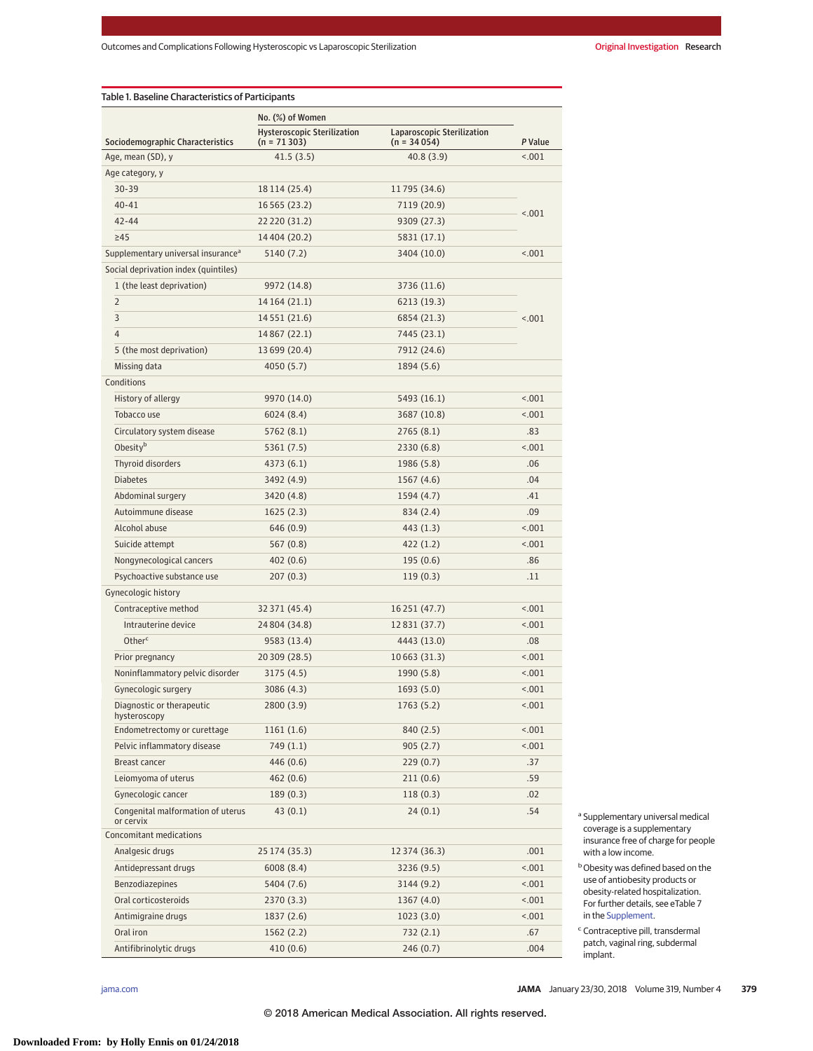Table 1. Baseline Characteristics of Participants

|                                                | No. (%) of Women                                    |                                             |         |
|------------------------------------------------|-----------------------------------------------------|---------------------------------------------|---------|
| Sociodemographic Characteristics               | <b>Hysteroscopic Sterilization</b><br>$(n = 71303)$ | Laparoscopic Sterilization<br>$(n = 34054)$ | P Value |
| Age, mean (SD), y                              | 41.5(3.5)                                           | 40.8(3.9)                                   | < .001  |
| Age category, y                                |                                                     |                                             |         |
| 30-39                                          | 18 114 (25.4)                                       | 11795 (34.6)                                |         |
| $40 - 41$                                      | 16 5 65 (23.2)                                      | 7119 (20.9)                                 |         |
| $42 - 44$                                      | 22 220 (31.2)                                       | 9309 (27.3)                                 | < .001  |
| $\geq 45$                                      | 14 404 (20.2)                                       | 5831 (17.1)                                 |         |
| Supplementary universal insurance <sup>a</sup> | 5140 (7.2)                                          | 3404 (10.0)                                 | < 0.001 |
| Social deprivation index (quintiles)           |                                                     |                                             |         |
| 1 (the least deprivation)                      | 9972 (14.8)                                         | 3736 (11.6)                                 |         |
| $\overline{2}$                                 | 14 164 (21.1)                                       | 6213 (19.3)                                 |         |
| 3                                              | 14 5 5 1 (21.6)                                     | 6854 (21.3)                                 | < .001  |
| 4                                              | 14 8 67 (22.1)                                      | 7445 (23.1)                                 |         |
| 5 (the most deprivation)                       | 13 699 (20.4)                                       | 7912 (24.6)                                 |         |
| Missing data                                   | 4050 (5.7)                                          | 1894 (5.6)                                  |         |
| Conditions                                     |                                                     |                                             |         |
| History of allergy                             | 9970 (14.0)                                         | 5493 (16.1)                                 | 15.001  |
| Tobacco use                                    | 6024 (8.4)                                          | 3687 (10.8)                                 | 15.001  |
| Circulatory system disease                     | 5762 (8.1)                                          | 2765(8.1)                                   | .83     |
| Obesityb                                       | 5361 (7.5)                                          | 2330 (6.8)                                  | < .001  |
| Thyroid disorders                              | 4373 (6.1)                                          | 1986 (5.8)                                  | .06     |
| <b>Diabetes</b>                                |                                                     |                                             | .04     |
|                                                | 3492 (4.9)                                          | 1567 (4.6)                                  |         |
| Abdominal surgery                              | 3420 (4.8)                                          | 1594 (4.7)                                  | .41     |
| Autoimmune disease                             | 1625(2.3)                                           | 834 (2.4)                                   | .09     |
| Alcohol abuse                                  | 646 (0.9)                                           | 443 (1.3)                                   | < .001  |
| Suicide attempt                                | 567 (0.8)                                           | 422 (1.2)                                   | < .001  |
| Nongynecological cancers                       | 402 (0.6)                                           | 195(0.6)                                    | .86     |
| Psychoactive substance use                     | 207(0.3)                                            | 119(0.3)                                    | .11     |
| Gynecologic history                            |                                                     |                                             |         |
| Contraceptive method                           | 32 371 (45.4)                                       | 16 251 (47.7)                               | < .001  |
| Intrauterine device                            | 24 804 (34.8)                                       | 12 8 31 (37.7)                              | < .001  |
| Otherc                                         | 9583 (13.4)                                         | 4443 (13.0)                                 | .08     |
| Prior pregnancy                                | 20 309 (28.5)                                       | 10663 (31.3)                                | < .001  |
| Noninflammatory pelvic disorder                | 3175 (4.5)                                          | 1990 (5.8)                                  | < .001  |
| Gynecologic surgery                            | 3086 (4.3)                                          | 1693(5.0)                                   | < .001  |
| Diagnostic or therapeutic<br>hysteroscopy      | 2800 (3.9)                                          | 1763 (5.2)                                  | 15.001  |
| Endometrectomy or curettage                    | 1161(1.6)                                           | 840 (2.5)                                   | 18.001  |
| Pelvic inflammatory disease                    | 749 (1.1)                                           | 905(2.7)                                    | 1001    |
| Breast cancer                                  | 446 (0.6)                                           | 229(0.7)                                    | .37     |
| Leiomyoma of uterus                            | 462(0.6)                                            | 211(0.6)                                    | .59     |
| Gynecologic cancer                             | 189(0.3)                                            | 118(0.3)                                    | .02     |
| Congenital malformation of uterus<br>or cervix | 43(0.1)                                             | 24(0.1)                                     | .54     |
| Concomitant medications                        |                                                     |                                             |         |
| Analgesic drugs                                | 25 174 (35.3)                                       | 12 374 (36.3)                               | .001    |
| Antidepressant drugs                           | 6008(8.4)                                           | 3236 (9.5)                                  | 18.001  |
| Benzodiazepines                                | 5404 (7.6)                                          | 3144 (9.2)                                  | 18.001  |
| Oral corticosteroids                           | 2370 (3.3)                                          | 1367 (4.0)                                  | 18.001  |
| Antimigraine drugs                             | 1837 (2.6)                                          | 1023(3.0)                                   | 18.001  |
| Oral iron                                      | 1562 (2.2)                                          | 732 (2.1)                                   | .67     |
| Antifibrinolytic drugs                         | 410(0.6)                                            | 246 (0.7)                                   | .004    |

<sup>a</sup> Supplementary universal medical coverage is a supplementary insurance free of charge for people with a low income.

**b** Obesity was defined based on the use of antiobesity products or obesity-related hospitalization. For further details, see eTable 7 in the Supplement.

<sup>c</sup> Contraceptive pill, transdermal patch, vaginal ring, subdermal implant.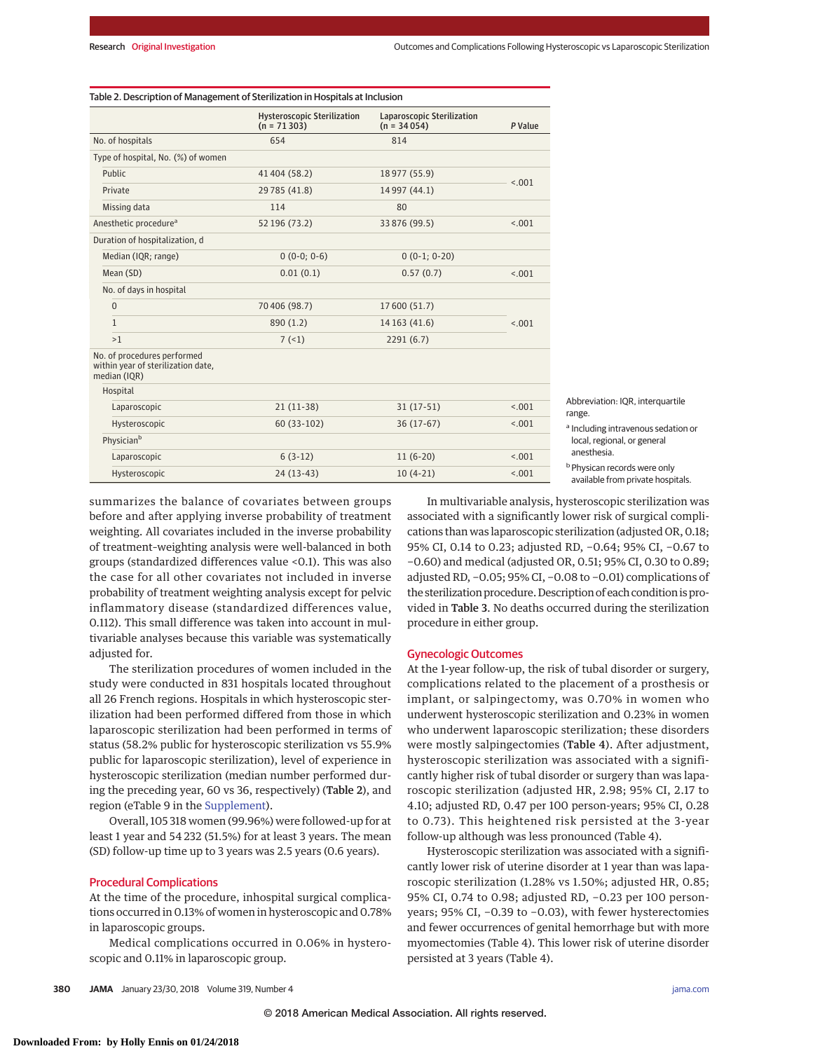| Table 2. Description of Management of Sterilization in Hospitals at Inclusion |  |  |
|-------------------------------------------------------------------------------|--|--|
|-------------------------------------------------------------------------------|--|--|

|                                                                                   | <b>Hysteroscopic Sterilization</b><br>$(n = 71303)$ | Laparoscopic Sterilization<br>$(n = 34054)$ | P Value |
|-----------------------------------------------------------------------------------|-----------------------------------------------------|---------------------------------------------|---------|
| No. of hospitals                                                                  | 654                                                 | 814                                         |         |
| Type of hospital, No. (%) of women                                                |                                                     |                                             |         |
| Public                                                                            | 41 404 (58.2)                                       | 18 977 (55.9)                               |         |
| Private                                                                           | 29 785 (41.8)                                       | 14 997 (44.1)                               | < .001  |
| Missing data                                                                      | 114                                                 | 80                                          |         |
| Anesthetic procedure <sup>a</sup>                                                 | 52 196 (73.2)                                       | 33 876 (99.5)                               | < .001  |
| Duration of hospitalization, d                                                    |                                                     |                                             |         |
| Median (IQR; range)                                                               | $0(0-0; 0-6)$                                       | $0(0-1; 0-20)$                              |         |
| Mean (SD)                                                                         | 0.01(0.1)                                           | 0.57(0.7)                                   | < .001  |
| No. of days in hospital                                                           |                                                     |                                             |         |
| $\mathbf{0}$                                                                      | 70 406 (98.7)                                       | 17 600 (51.7)                               |         |
| $\mathbf{1}$                                                                      | 890 (1.2)                                           | 14 163 (41.6)                               | < .001  |
| >1                                                                                | 7(1)                                                | 2291(6.7)                                   |         |
| No. of procedures performed<br>within year of sterilization date,<br>median (IQR) |                                                     |                                             |         |
| Hospital                                                                          |                                                     |                                             |         |
| Laparoscopic                                                                      | $21(11-38)$                                         | $31(17-51)$                                 | < 0.01  |
| Hysteroscopic                                                                     | $60(33-102)$                                        | $36(17-67)$                                 | < 0.01  |
| Physician <sup>b</sup>                                                            |                                                     |                                             |         |
| Laparoscopic                                                                      | $6(3-12)$                                           | $11(6-20)$                                  | < 0.01  |
| Hysteroscopic                                                                     | $24(13-43)$                                         | $10(4-21)$                                  | < 0.01  |

breviation: IQR, interquartile range. ncluding intravenous sedation or

ocal, regional, or general nesthesia. bPhysican records were only

vailable from private hospitals.

summarizes the balance of covariates between groups before and after applying inverse probability of treatment weighting. All covariates included in the inverse probability of treatment–weighting analysis were well-balanced in both groups (standardized differences value <0.1). This was also the case for all other covariates not included in inverse probability of treatment weighting analysis except for pelvic inflammatory disease (standardized differences value, 0.112). This small difference was taken into account in multivariable analyses because this variable was systematically adjusted for.

The sterilization procedures of women included in the study were conducted in 831 hospitals located throughout all 26 French regions. Hospitals in which hysteroscopic sterilization had been performed differed from those in which laparoscopic sterilization had been performed in terms of status (58.2% public for hysteroscopic sterilization vs 55.9% public for laparoscopic sterilization), level of experience in hysteroscopic sterilization (median number performed during the preceding year, 60 vs 36, respectively) (Table 2), and region (eTable 9 in the Supplement).

Overall, 105 318 women (99.96%) were followed-up for at least 1 year and 54 232 (51.5%) for at least 3 years. The mean (SD) follow-up time up to 3 years was 2.5 years (0.6 years).

#### Procedural Complications

At the time of the procedure, inhospital surgical complications occurred in 0.13% of women in hysteroscopic and 0.78% in laparoscopic groups.

Medical complications occurred in 0.06% in hysteroscopic and 0.11% in laparoscopic group.

In multivariable analysis, hysteroscopic sterilization was associated with a significantly lower risk of surgical complications than was laparoscopic sterilization (adjusted OR, 0.18; 95% CI, 0.14 to 0.23; adjusted RD, −0.64; 95% CI, −0.67 to −0.60) and medical (adjusted OR, 0.51; 95% CI, 0.30 to 0.89; adjusted RD, −0.05; 95% CI, −0.08 to −0.01) complications of the sterilization procedure. Description of each condition is provided in Table 3. No deaths occurred during the sterilization procedure in either group.

### Gynecologic Outcomes

At the 1-year follow-up, the risk of tubal disorder or surgery, complications related to the placement of a prosthesis or implant, or salpingectomy, was 0.70% in women who underwent hysteroscopic sterilization and 0.23% in women who underwent laparoscopic sterilization; these disorders were mostly salpingectomies (Table 4). After adjustment, hysteroscopic sterilization was associated with a significantly higher risk of tubal disorder or surgery than was laparoscopic sterilization (adjusted HR, 2.98; 95% CI, 2.17 to 4.10; adjusted RD, 0.47 per 100 person-years; 95% CI, 0.28 to 0.73). This heightened risk persisted at the 3-year follow-up although was less pronounced (Table 4).

Hysteroscopic sterilization was associated with a significantly lower risk of uterine disorder at 1 year than was laparoscopic sterilization (1.28% vs 1.50%; adjusted HR, 0.85; 95% CI, 0.74 to 0.98; adjusted RD, -0.23 per 100 personyears; 95% CI, −0.39 to −0.03), with fewer hysterectomies and fewer occurrences of genital hemorrhage but with more myomectomies (Table 4). This lower risk of uterine disorder persisted at 3 years (Table 4).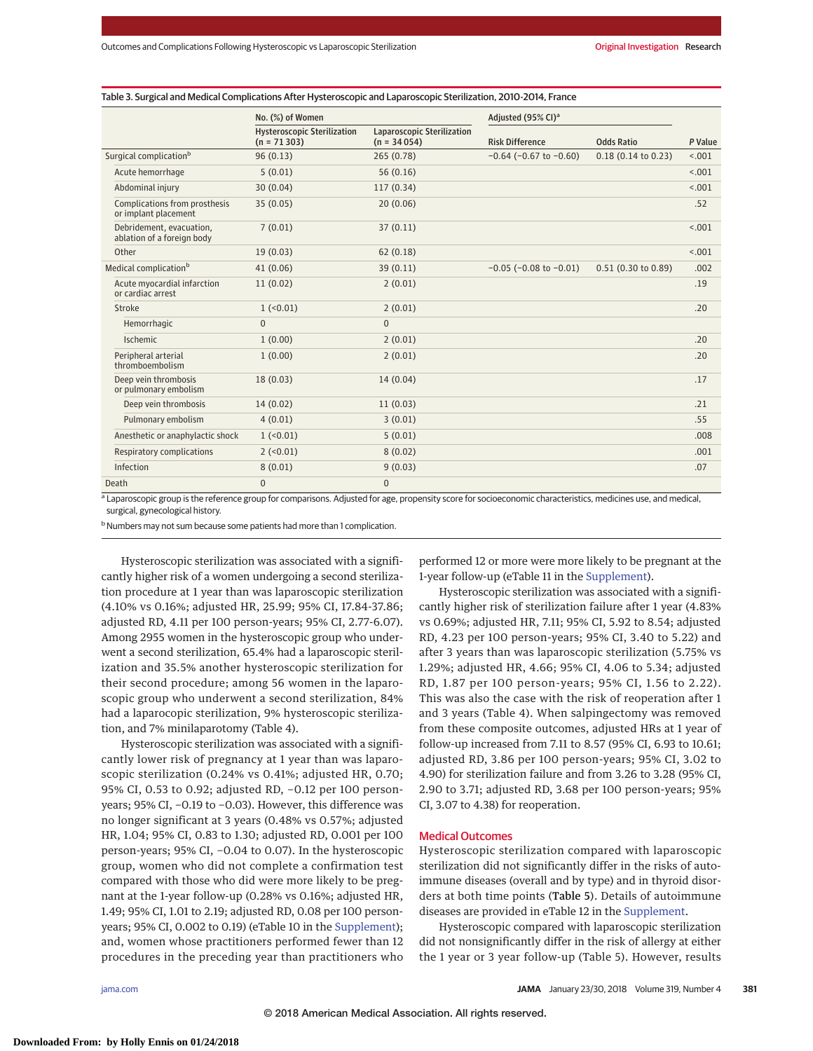| Table 3. Surgical and Medical Complications After Hysteroscopic and Laparoscopic Sterilization, 2010-2014, France |  |
|-------------------------------------------------------------------------------------------------------------------|--|
|-------------------------------------------------------------------------------------------------------------------|--|

|                                                        | No. (%) of Women                                    |                                             | Adiusted (95% CI) <sup>a</sup> |                       |         |
|--------------------------------------------------------|-----------------------------------------------------|---------------------------------------------|--------------------------------|-----------------------|---------|
|                                                        | <b>Hysteroscopic Sterilization</b><br>$(n = 71303)$ | Laparoscopic Sterilization<br>$(n = 34054)$ | <b>Risk Difference</b>         | <b>Odds Ratio</b>     | P Value |
| Surgical complication <sup>b</sup>                     | 96(0.13)                                            | 265 (0.78)                                  | $-0.64$ ( $-0.67$ to $-0.60$ ) | $0.18$ (0.14 to 0.23) | < 0.01  |
| Acute hemorrhage                                       | 5(0.01)                                             | 56(0.16)                                    |                                |                       | < 0.01  |
| Abdominal injury                                       | 30(0.04)                                            | 117(0.34)                                   |                                |                       | < 0.01  |
| Complications from prosthesis<br>or implant placement  | 35(0.05)                                            | 20(0.06)                                    |                                |                       | .52     |
| Debridement, evacuation.<br>ablation of a foreign body | 7(0.01)                                             | 37(0.11)                                    |                                |                       | < 0.01  |
| Other                                                  | 19(0.03)                                            | 62(0.18)                                    |                                |                       | < 0.01  |
| Medical complication <sup>b</sup>                      | 41(0.06)                                            | 39(0.11)                                    | $-0.05$ ( $-0.08$ to $-0.01$ ) | $0.51$ (0.30 to 0.89) | .002    |
| Acute myocardial infarction<br>or cardiac arrest       | 11(0.02)                                            | 2(0.01)                                     |                                |                       | .19     |
| Stroke                                                 | $1$ (<0.01)                                         | 2(0.01)                                     |                                |                       | .20     |
| Hemorrhagic                                            | $\Omega$                                            | $\mathbf{0}$                                |                                |                       |         |
| Ischemic                                               | 1(0.00)                                             | 2(0.01)                                     |                                |                       | .20     |
| Peripheral arterial<br>thromboembolism                 | 1(0.00)                                             | 2(0.01)                                     |                                |                       | .20     |
| Deep vein thrombosis<br>or pulmonary embolism          | 18(0.03)                                            | 14(0.04)                                    |                                |                       | .17     |
| Deep vein thrombosis                                   | 14(0.02)                                            | 11(0.03)                                    |                                |                       | .21     |
| Pulmonary embolism                                     | 4(0.01)                                             | 3(0.01)                                     |                                |                       | .55     |
| Anesthetic or anaphylactic shock                       | $1$ (<0.01)                                         | 5(0.01)                                     |                                |                       | .008    |
| Respiratory complications                              | $2 (-0.01)$                                         | 8(0.02)                                     |                                |                       | .001    |
| Infection                                              | 8(0.01)                                             | 9(0.03)                                     |                                |                       | .07     |
| Death                                                  | $\Omega$                                            | $\mathbf{0}$                                |                                |                       |         |

<sup>a</sup> Laparoscopic group is the reference group for comparisons. Adjusted for age, propensity score for socioeconomic characteristics, medicines use, and medical, surgical, gynecological history.

<sup>b</sup> Numbers may not sum because some patients had more than 1 complication.

Hysteroscopic sterilization was associated with a significantly higher risk of a women undergoing a second sterilization procedure at 1 year than was laparoscopic sterilization (4.10% vs 0.16%; adjusted HR, 25.99; 95% CI, 17.84-37.86; adjusted RD, 4.11 per 100 person-years; 95% CI, 2.77-6.07). Among 2955 women in the hysteroscopic group who underwent a second sterilization, 65.4% had a laparoscopic sterilization and 35.5% another hysteroscopic sterilization for their second procedure; among 56 women in the laparoscopic group who underwent a second sterilization, 84% had a laparocopic sterilization, 9% hysteroscopic sterilization, and 7% minilaparotomy (Table 4).

Hysteroscopic sterilization was associated with a significantly lower risk of pregnancy at 1 year than was laparoscopic sterilization (0.24% vs 0.41%; adjusted HR, 0.70; 95% CI, 0.53 to 0.92; adjusted RD, -0.12 per 100 personyears; 95% CI, −0.19 to −0.03). However, this difference was no longer significant at 3 years (0.48% vs 0.57%; adjusted HR, 1.04; 95% CI, 0.83 to 1.30; adjusted RD, 0.001 per 100 person-years; 95% CI, −0.04 to 0.07). In the hysteroscopic group, women who did not complete a confirmation test compared with those who did were more likely to be pregnant at the 1-year follow-up (0.28% vs 0.16%; adjusted HR, 1.49; 95% CI, 1.01 to 2.19; adjusted RD, 0.08 per 100 personyears; 95% CI, 0.002 to 0.19) (eTable 10 in the Supplement); and, women whose practitioners performed fewer than 12 procedures in the preceding year than practitioners who

performed 12 or more were more likely to be pregnant at the 1-year follow-up (eTable 11 in the Supplement).

Hysteroscopic sterilization was associated with a significantly higher risk of sterilization failure after 1 year (4.83% vs 0.69%; adjusted HR, 7.11; 95% CI, 5.92 to 8.54; adjusted RD, 4.23 per 100 person-years; 95% CI, 3.40 to 5.22) and after 3 years than was laparoscopic sterilization (5.75% vs 1.29%; adjusted HR, 4.66; 95% CI, 4.06 to 5.34; adjusted RD, 1.87 per 100 person-years; 95% CI, 1.56 to 2.22). This was also the case with the risk of reoperation after 1 and 3 years (Table 4). When salpingectomy was removed from these composite outcomes, adjusted HRs at 1 year of follow-up increased from 7.11 to 8.57 (95% CI, 6.93 to 10.61; adjusted RD, 3.86 per 100 person-years; 95% CI, 3.02 to 4.90) for sterilization failure and from 3.26 to 3.28 (95% CI, 2.90 to 3.71; adjusted RD, 3.68 per 100 person-years; 95% CI, 3.07 to 4.38) for reoperation.

#### Medical Outcomes

Hysteroscopic sterilization compared with laparoscopic sterilization did not significantly differ in the risks of autoimmune diseases (overall and by type) and in thyroid disorders at both time points (Table 5). Details of autoimmune diseases are provided in eTable 12 in the Supplement.

Hysteroscopic compared with laparoscopic sterilization did not nonsignificantly differ in the risk of allergy at either the 1 year or 3 year follow-up (Table 5). However, results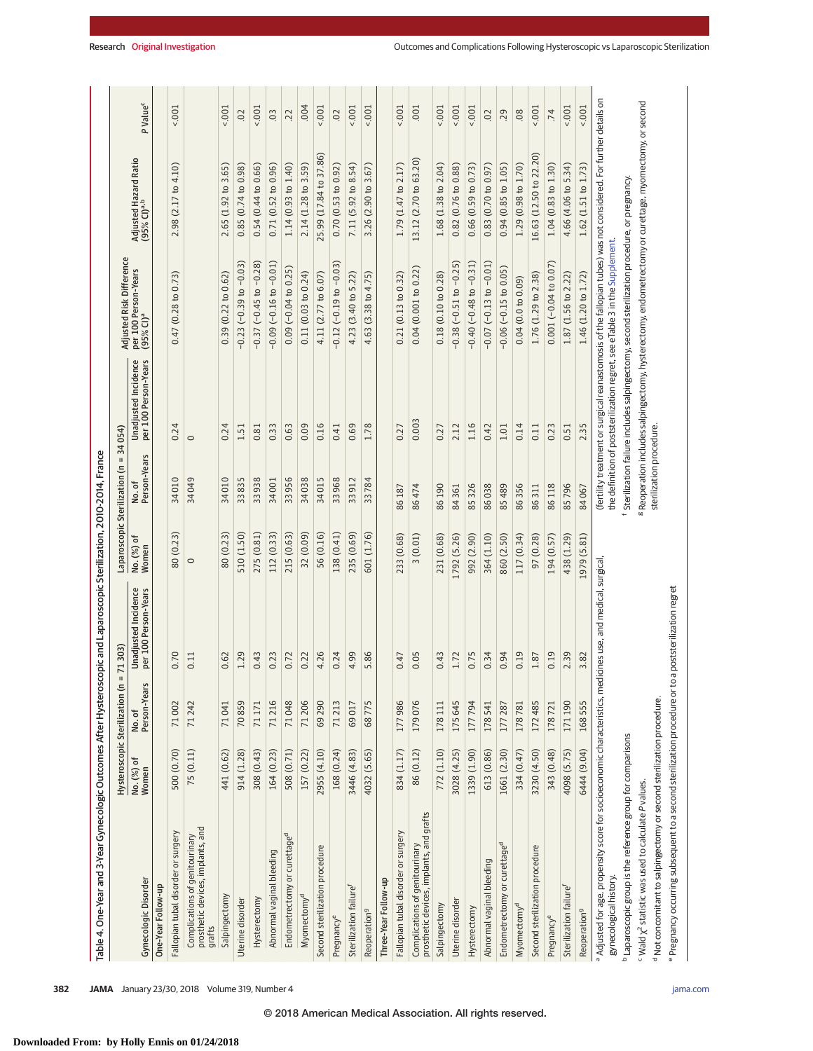| Table 4. One-Year and 3-Year Gynecologic Outcomes After Hysteroscopic and Laparoscopic Sterilization, 2010-2014. France                                 |                     |                                               |                                              |                               |                          |                                              |                                                                                                                                                                                                  |                                                  |                      |
|---------------------------------------------------------------------------------------------------------------------------------------------------------|---------------------|-----------------------------------------------|----------------------------------------------|-------------------------------|--------------------------|----------------------------------------------|--------------------------------------------------------------------------------------------------------------------------------------------------------------------------------------------------|--------------------------------------------------|----------------------|
|                                                                                                                                                         |                     | $\mathbf H$<br>Hysteroscopic Sterilization (n | 71303)                                       | Laparoscopic Sterilization (n | $\mathbf{I}$             | 34054)                                       | Adjusted Risk Difference                                                                                                                                                                         |                                                  |                      |
| <b>Gynecologic Disorder</b>                                                                                                                             | No. (%) of<br>Women | No. of<br>Person-Years                        | Unadjusted Incidence<br>per 100 Person-Years | No. (%) of<br>Women           | No. of<br>Person-Years   | Unadjusted Incidence<br>per 100 Person-Years | per 100 Person-Years<br>(95% CI) <sup>a</sup>                                                                                                                                                    | Adjusted Hazard Ratio<br>(95% CI) <sup>a,b</sup> | P Value <sup>c</sup> |
| One-Year Follow-up                                                                                                                                      |                     |                                               |                                              |                               |                          |                                              |                                                                                                                                                                                                  |                                                  |                      |
| Fallopian tubal disorder or surgery                                                                                                                     | 500 (0.70)          | 71002                                         | 0.70                                         | 80 (0.23)                     | 34010                    | 0.24                                         | 0.47(0.28 to 0.73)                                                                                                                                                                               | 2.98 (2.17 to 4.10)                              | $5001 -$             |
| prosthetic devices, implants, and<br>Complications of genitourinary<br>grafts                                                                           | 75 (0.11)           | 71242                                         | 0.11                                         | $\circ$                       | 34049                    | $\circ$                                      |                                                                                                                                                                                                  |                                                  |                      |
| Salpingectomy                                                                                                                                           | 441 (0.62)          | 71041                                         | 0.62                                         | 80 (0.23)                     | 34010                    | 0.24                                         | 0.39(0.22 to 0.62)                                                                                                                                                                               | 2.65 (1.92 to 3.65)                              | 5001                 |
| Uterine disorder                                                                                                                                        | 914 (1.28)          | 70859                                         | 1.29                                         | 510 (1.50)                    | 33835                    | 1.51                                         | $-0.23(-0.39$ to $-0.03)$                                                                                                                                                                        | 0.85(0.74 to 0.98)                               | $\overline{0}$       |
| Hysterectomy                                                                                                                                            | 308 (0.43)          | 71171                                         | 0.43                                         | 275 (0.81)                    | 33938                    | 0.81                                         | $-0.37$ ( $-0.45$ to $-0.28$ )                                                                                                                                                                   | 0.54(0.44 to 0.66)                               | $5001 -$             |
| Abnormal vaginal bleeding                                                                                                                               | 164 (0.23)          | 71216                                         | 0.23                                         | 112 (0.33)                    | 34001                    | 0.33                                         | $-0.09$ $(-0.16$ to $-0.01)$                                                                                                                                                                     | 0.71(0.52 to 0.96)                               | $\overline{0}$       |
| Endometrectomy or curettaged                                                                                                                            | 508 (0.71)          | 71048                                         | 0.72                                         | 215 (0.63)                    | 33956                    | 0.63                                         | $0.09$ (-0.04 to 0.25)                                                                                                                                                                           | 1.14 (0.93 to 1.40)                              | 22                   |
| Myomectomy <sup>d</sup>                                                                                                                                 | 157 (0.22)          | 71206                                         | 0.22                                         | 32 (0.09)                     | 34038                    | 0.09                                         | 0.11(0.03 to 0.24)                                                                                                                                                                               | 2.14 (1.28 to 3.59)                              | .004                 |
| Second sterilization procedure                                                                                                                          | 2955 (4.10)         | 69290                                         | 4.26                                         | 56 (0.16)                     | 34015                    | 0.16                                         | 4.11 (2.77 to 6.07)                                                                                                                                                                              | 25.99 (17.84 to 37.86)                           | 001                  |
| Pregnancy <sup>e</sup>                                                                                                                                  | 168 (0.24)          | 71213                                         | 0.24                                         | 138 (0.41)                    | 33968                    | 0.41                                         | $-0.12$ $(-0.19$ to $-0.03)$                                                                                                                                                                     | 0.70(0.53 to 0.92)                               | $\overline{0}$       |
| Sterilization failure <sup>f</sup>                                                                                                                      | 3446 (4.83)         | 69017                                         | 4.99                                         | 235 (0.69)                    | 33912                    | 0.69                                         | 4.23 (3.40 to 5.22)                                                                                                                                                                              | 7.11 (5.92 to 8.54)                              | $5001 -$             |
| Reoperation <sup>9</sup>                                                                                                                                | 4032 (5.65)         | 68775                                         | 5.86                                         | 601 (1.76)                    | 33784                    | 1.78                                         | 4.63 (3.38 to 4.75)                                                                                                                                                                              | 3.26 (2.90 to 3.67)                              | $5001 -$             |
| Three-Year Follow-up                                                                                                                                    |                     |                                               |                                              |                               |                          |                                              |                                                                                                                                                                                                  |                                                  |                      |
| Fallopian tubal disorder or surgery                                                                                                                     | 834 (1.17)          | 177986                                        | 0.47                                         | 233 (0.68)                    | 86187                    | 0.27                                         | 0.21(0.13 to 0.32)                                                                                                                                                                               | 1.79 (1.47 to 2.17)                              | $5001 -$             |
| Complications of genitourinary<br>prosthetic devices, implants, and grafts                                                                              | 86 (0.12)           | 179076                                        | 0.05                                         | (0.01)<br>$\sim$              | 86474                    | 0.003                                        | 0.04(0.001 to 0.22)                                                                                                                                                                              | 13.12 (2.70 to 63.20)                            | .001                 |
| Salpingectomy                                                                                                                                           | 772 (1.10)          | 178111                                        | 0.43                                         | 231 (0.68)                    | 86190                    | 0.27                                         | 0.18(0.10 to 0.28)                                                                                                                                                                               | 1.68 (1.38 to 2.04)                              | $5001 -$             |
| Uterine disorder                                                                                                                                        | 3028 (4.25)         | 175645                                        | 1.72                                         | 1792 (5.26)                   | 84361                    | 2.12                                         | $-0.25$<br>$-0.38(-0.51 to$                                                                                                                                                                      | 0.82(0.76 to 0.88)                               | 5001                 |
| Hysterectomy                                                                                                                                            | 1339 (1.90)         | 177794                                        | 0.75                                         | 992 (2.90)                    | 85326                    | 1.16                                         | $-0.40(-0.48$ to $-0.31)$                                                                                                                                                                        | 0.66(0.59 to 0.73)                               | 5001                 |
| Abnormal vaginal bleeding                                                                                                                               | 613 (0.86)          | 178541                                        | 0.34                                         | 364 (1.10)                    | 86038                    | 0.42                                         | $-0.07$ $(-0.13$ to $-0.01)$                                                                                                                                                                     | 0.83(0.70 to 0.97)                               | $\overline{0}$       |
| Endometrectomy or curettage <sup>d</sup>                                                                                                                | 1661 (2.30)         | 177287                                        | 0.94                                         | 860 (2.50)                    | 85 489                   | $1.01\,$                                     | $-0.06$ $(-0.15$ to $0.05)$                                                                                                                                                                      | 0.94(0.85 to 1.05)                               | .29                  |
| Myomectomy <sup>d</sup>                                                                                                                                 | 334 (0.47)          | 178781                                        | 0.19                                         | 117 (0.34)                    | 86356                    | 0.14                                         | 0.04(0.0 to 0.09)                                                                                                                                                                                | 1.29 (0.98 to 1.70)                              | 08                   |
| Second sterilization procedure                                                                                                                          | 3230 (4.50)         | 172485                                        | 1.87                                         | 97 (0.28)                     | 86311                    | 0.11                                         | 1.76 (1.29 to 2.38)                                                                                                                                                                              | 16.63 (12.50 to 22.20)                           | 5001                 |
| Pregnancy <sup>e</sup>                                                                                                                                  | 343 (0.48)          | 178721                                        | 0.19                                         | 194 (0.57)                    | 86118                    | 0.23                                         | $0.001 (-0.04 to 0.07)$                                                                                                                                                                          | 1.04 (0.83 to 1.30)                              | .74                  |
| Sterilization failure <sup>f</sup>                                                                                                                      | 4098 (5.75)         | 171190                                        | 2.39                                         | 438 (1.29)                    | 85796                    | 0.51                                         | 1.87 (1.56 to 2.22)                                                                                                                                                                              | 4.66 (4.06 to 5.34)                              | $1001 -$             |
| Reoperation <sup>9</sup>                                                                                                                                | 6444 (9.04)         | 168555                                        | 3.82                                         | 1979 (5.81)                   | 84067                    | 2.35                                         | 1.46 (1.20 to 1.72)                                                                                                                                                                              | 1.62 (1.51 to 1.73)                              | 5001                 |
| a Adjusted for age, propensity score for socioeconomic characteristics, medicines use, and medical, surgical<br>gynecological history.                  |                     |                                               |                                              |                               |                          |                                              | (fertility treatment or surgical reanastomosis of the fallopian tubes) was not considered. For further details on<br>the definition of poststerilization regret, see eTable 3 in the Supplement. |                                                  |                      |
| <sup>b</sup> Laparoscopic group is the reference group for comparisons                                                                                  |                     |                                               |                                              |                               |                          |                                              | Sterilization failure includes salpingectomy, second sterilization procedure, or pregnancy.                                                                                                      |                                                  |                      |
| <sup>d</sup> Not concomitant to salpingectomy or second sterilization procedure<br><sup>c</sup> Wald $\chi^2$ statistic was used to calculate P values. |                     |                                               |                                              |                               | sterilization procedure. |                                              | Reoperation includes salpingectomy, hysterectomy, endometrectomy or curettage, myomectomy, or second                                                                                             |                                                  |                      |

<sup>d</sup>Not concomitant to salpingectomy or second sterilization procedure.

<sup>d</sup>Not concomitant to salpingectomy or second sterilization procedure.

<sup>e</sup> Pregnancy occurring subsequent to a second sterilization procedure or to a poststerilization regret Pregnancy occurring subsequent to a second sterilization procedure or to a poststerilization regret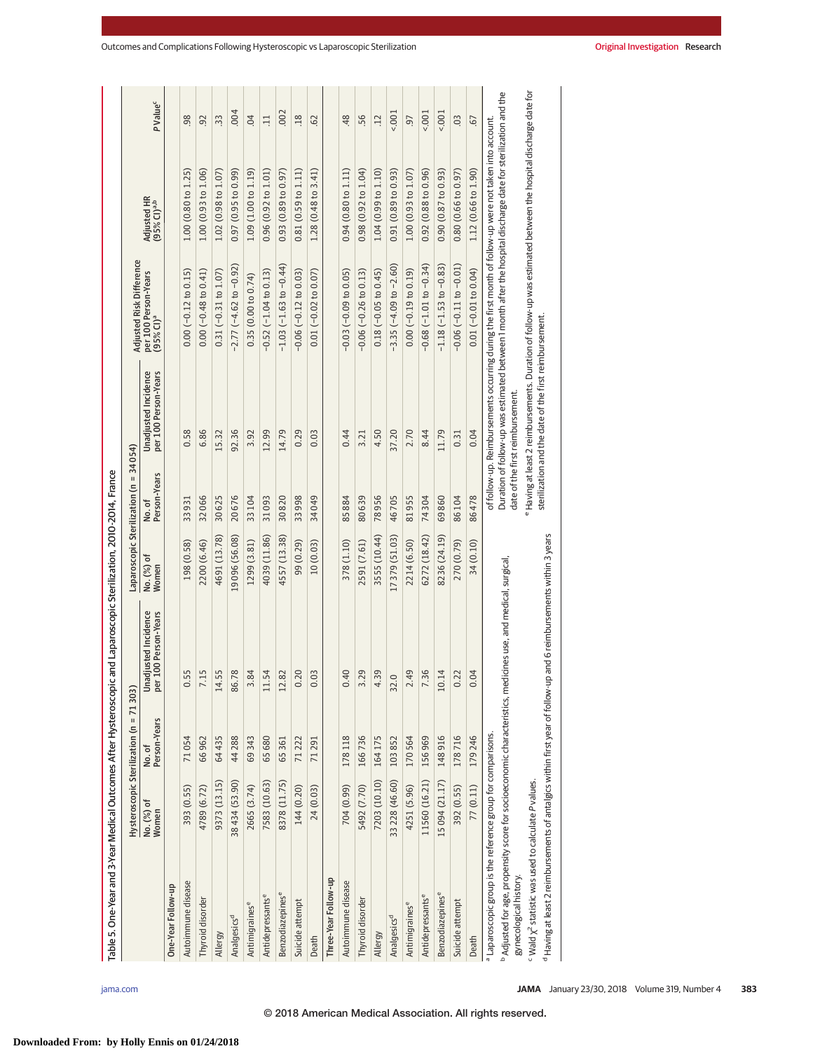| Table 5. One-Year and 3-Year Medical Outcomes After Hysteroscopic and Laparoscopic Sterilization, 2010-2014. France                               |                     |                                         |                                              |                     |                                        |                                                       |                                                                                                                 |                                        |                      |
|---------------------------------------------------------------------------------------------------------------------------------------------------|---------------------|-----------------------------------------|----------------------------------------------|---------------------|----------------------------------------|-------------------------------------------------------|-----------------------------------------------------------------------------------------------------------------|----------------------------------------|----------------------|
|                                                                                                                                                   |                     | Hysteroscopic Sterilization (n = 71303) |                                              |                     | Laparoscopic Sterilization (n = 34054) |                                                       | Adjusted Risk Difference                                                                                        |                                        |                      |
|                                                                                                                                                   | No. (%) of<br>Women | No. of<br>Person-Years                  | Unadjusted Incidence<br>per 100 Person-Years | No. (%) of<br>Women | No. of<br>Person-Years                 | per 100 Person-Years<br>Unadjusted Incidence          | per 100 Person-Years<br>(95% CI) <sup>a</sup>                                                                   | Adjusted HR<br>(95% CI) <sup>a,b</sup> | P Value <sup>c</sup> |
| One-Year Follow-up                                                                                                                                |                     |                                         |                                              |                     |                                        |                                                       |                                                                                                                 |                                        |                      |
| Autoimmune disease                                                                                                                                | 393 (0.55)          | 71054                                   | 55.                                          | 198 (0.58)          | 33931                                  | 0.58                                                  | $0.00 (-0.12 to 0.15)$                                                                                          | 1.00 (0.80 to 1.25)                    | $\overline{98}$      |
| Thyroid disorder                                                                                                                                  | 4789 (6.72)         | 66962                                   | 15                                           | 2200 (6.46)         | 32066                                  | 6.86                                                  | $0.00 (-0.48 to 0.41)$                                                                                          | 1.00(0.93 to 1.06)                     | 92                   |
| Allergy                                                                                                                                           | 9373 (13.15)        | 64435                                   | 55.<br>$\overline{14}$                       | 4691 (13.78)        | 30625                                  | 15.32                                                 | $0.31 (-0.31 to 1.07)$                                                                                          | 1.02(0.98 to 1.07)                     | 33                   |
| Analgesics <sup>d</sup>                                                                                                                           | 38434 (53.90)       | 44288                                   | .78<br>86.                                   | 19 096 (56.08)      | 20676                                  | 92.36                                                 | $-2.77(-4.62 to -0.92)$                                                                                         | 0.97(0.95 to 0.99)                     | .004                 |
| Antimigraines <sup>e</sup>                                                                                                                        | 2665 (3.74)         | 69343                                   | .84                                          | 1299 (3.81)         | 33104                                  | 3.92                                                  | 0.35(0.00 to 0.74)                                                                                              | 1.09(1.00 to 1.19)                     | 04                   |
| Antidepressantse                                                                                                                                  | 7583 (10.63)        | 65680                                   | .54<br>$\Xi$                                 | 4039 (11.86)        | 31093                                  | 12.99                                                 | $-0.52(-1.04 to 0.13)$                                                                                          | 0.96(0.92 to 1.01)                     | $\Xi$                |
| Benzodiazepines <sup>e</sup>                                                                                                                      | 8378 (11.75)        | 65361                                   | .82<br>$\overline{12}$                       | 4557 (13.38)        | 30820                                  | 14.79                                                 | $-1.03(-1.63 to -0.44)$                                                                                         | 0.93(0.89 to 0.97)                     | .002                 |
| Suicide attempt                                                                                                                                   | 144 (0.20)          | 71222                                   | 20                                           | 99 (0.29)           | 33998                                  | 0.29                                                  | $-0.06$ $(-0.12$ to $0.03)$                                                                                     | 0.81(0.59 to 1.11)                     | .18                  |
| Death                                                                                                                                             | 24 (0.03)           | 71291                                   | 0 <sup>3</sup>                               | 10(0.03)            | 34049                                  | 0.03                                                  | $0.01 (-0.02 to 0.07)$                                                                                          | $1.28(0.48 \text{ to } 3.41)$          | 62                   |
| Three-Year Follow-up                                                                                                                              |                     |                                         |                                              |                     |                                        |                                                       |                                                                                                                 |                                        |                      |
| Autoimmune disease                                                                                                                                | 704 (0.99)          | 178118                                  | 40                                           | 378 (1.10)          | 85884                                  | 0.44                                                  | $-0.03(-0.09$ to $0.05)$                                                                                        | 0.94(0.80 to 1.11)                     | 48                   |
| Thyroid disorder                                                                                                                                  | 5492 (7.70)         | 166736                                  | 29                                           | 2591 (7.61)         | 80639                                  | 3.21                                                  | $-0.06$ ( $-0.26$ to 0.13)                                                                                      | $0.98(0.92 \text{ to } 1.04)$          | 56                   |
| Allergy                                                                                                                                           | 7203 (10.10)        | 164175                                  | 39                                           | 3555 (10.44)        | 78956                                  | 4.50                                                  | $0.18$ (-0.05 to 0.45)                                                                                          | 1.04(0.99 to 1.10)                     | $\overline{12}$      |
| Analgesics <sup>d</sup>                                                                                                                           | 33 228 (46.60)      | 103852                                  | Q<br>32                                      | 17 379 (51.03)      | 46705                                  | 37.20                                                 | $-3.35(-4.09 to -2.60)$                                                                                         | 0.91(0.89 to 0.93)                     | $5001 -$             |
| Antimigraines <sup>e</sup>                                                                                                                        | 4251 (5.96)         | 170564                                  | 49                                           | 2214 (6.50)         | 81955                                  | 2.70                                                  | $0.00 (-0.19 to 0.19)$                                                                                          | 1.00(0.93 to 1.07)                     | .97                  |
| Antidepressants <sup>e</sup>                                                                                                                      | 11560 (16.21)       | 156969                                  | $\ddot{36}$                                  | 6272 (18.42)        | 74304                                  | 8.44                                                  | $-0.68(-1.01)$ to $-0.34$ )                                                                                     | 0.92(0.88 to 0.96)                     | 5001                 |
| Benzodiazepines <sup>e</sup>                                                                                                                      | 15094 (21.17)       | 148916                                  | 10.14                                        | 8236 (24.19)        | 69860                                  | 11.79                                                 | $-1.18(-1.53)$ to $-0.83$ )                                                                                     | 0.90(0.87 to 0.93)                     | 5001                 |
| Suicide attempt                                                                                                                                   | 392 (0.55)          | 178716                                  | 22                                           | 270 (0.79)          | 86104                                  | 0.31                                                  | $-0.06$ $(-0.11$ to $-0.01)$                                                                                    | 0.80(0.66 to 0.97)                     | $\overline{0}$       |
| Death                                                                                                                                             | 77 (0.11)           | 179246                                  | 0.04                                         | 34 (0.10)           | 86478                                  | 0.04                                                  | $0.01 (-0.01 to 0.04)$                                                                                          | 1.12 (0.66 to 1.90)                    | <b>G7</b>            |
| a Laparoscopic group is the reference group for comparisons.                                                                                      |                     |                                         |                                              |                     |                                        |                                                       | of follow-up. Reimbursements occurring during the first month of follow-up were not taken into account.         |                                        |                      |
| <sup>b</sup> Adjusted for age, propensity score for socioeconomic characteristics, medicines use, and medical, surgical<br>gynecological history. |                     |                                         |                                              |                     |                                        | date of the first reimbursement.                      | Duration of follow-up was estimated between 1 month after the hospital discharge date for sterilization and the |                                        |                      |
| $-Wald X2$ statistic was used to calculate P values.                                                                                              |                     |                                         |                                              |                     |                                        |                                                       | e Having at least 2 reimbursements. Duration of follow-up was estimated between the hospital discharge date for |                                        |                      |
| <sup>d</sup> Having at least 2 reimbursements of antalgics within first year of follow-up and 6 reimbursements within 3 years                     |                     |                                         |                                              |                     |                                        | sterilization and the date of the first reimbursement |                                                                                                                 |                                        |                      |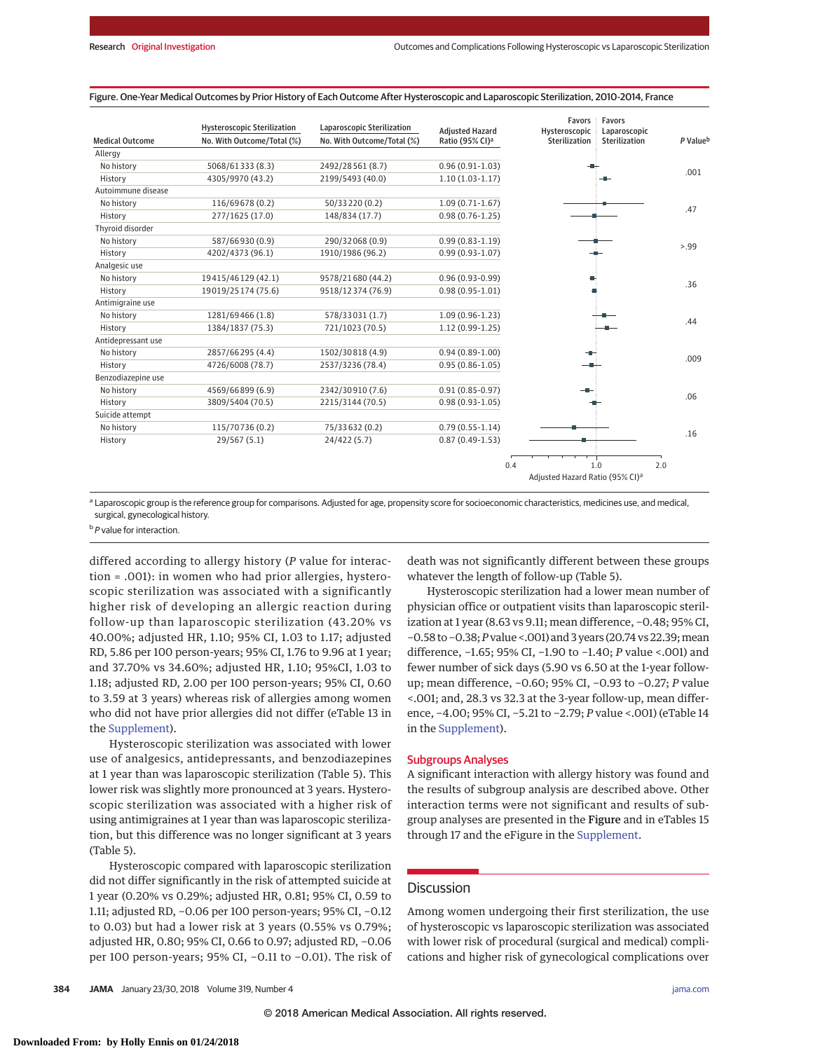|                        | <b>Hysteroscopic Sterilization</b> | Laparoscopic Sterilization | <b>Adiusted Hazard</b>      | Favors<br>Hysteroscopic                     | Favors<br>Laparoscopic |                      |
|------------------------|------------------------------------|----------------------------|-----------------------------|---------------------------------------------|------------------------|----------------------|
| <b>Medical Outcome</b> | No. With Outcome/Total (%)         | No. With Outcome/Total (%) | Ratio (95% CI) <sup>a</sup> | Sterilization                               | <b>Sterilization</b>   | P Value <sup>b</sup> |
| Allergy                |                                    |                            |                             |                                             |                        |                      |
| No history             | 5068/61333 (8.3)                   | 2492/28561 (8.7)           | $0.96(0.91 - 1.03)$         |                                             |                        |                      |
| History                | 4305/9970 (43.2)                   | 2199/5493 (40.0)           | $1.10(1.03-1.17)$           |                                             |                        | .001                 |
| Autoimmune disease     |                                    |                            |                             |                                             |                        |                      |
| No history             | 116/69678 (0.2)                    | 50/33220 (0.2)             | $1.09(0.71-1.67)$           |                                             |                        | .47                  |
| History                | 277/1625 (17.0)                    | 148/834 (17.7)             | $0.98(0.76 - 1.25)$         |                                             |                        |                      |
| Thyroid disorder       |                                    |                            |                             |                                             |                        |                      |
| No history             | 587/66930 (0.9)                    | 290/32068 (0.9)            | $0.99(0.83 - 1.19)$         |                                             |                        | 5.99                 |
| History                | 4202/4373 (96.1)                   | 1910/1986 (96.2)           | $0.99(0.93 - 1.07)$         |                                             |                        |                      |
| Analgesic use          |                                    |                            |                             |                                             |                        |                      |
| No history             | 19415/46129 (42.1)                 | 9578/21680 (44.2)          | $0.96(0.93-0.99)$           |                                             |                        | .36                  |
| History                | 19019/25174 (75.6)                 | 9518/12374 (76.9)          | $0.98(0.95 - 1.01)$         |                                             |                        |                      |
| Antimigraine use       |                                    |                            |                             |                                             |                        |                      |
| No history             | 1281/69466 (1.8)                   | 578/33031 (1.7)            | $1.09(0.96 - 1.23)$         |                                             |                        | .44                  |
| History                | 1384/1837 (75.3)                   | 721/1023 (70.5)            | $1.12(0.99-1.25)$           |                                             |                        |                      |
| Antidepressant use     |                                    |                            |                             |                                             |                        |                      |
| No history             | 2857/66295 (4.4)                   | 1502/30818 (4.9)           | $0.94(0.89-1.00)$           |                                             |                        | .009                 |
| History                | 4726/6008 (78.7)                   | 2537/3236 (78.4)           | $0.95(0.86 - 1.05)$         |                                             |                        |                      |
| Benzodiazepine use     |                                    |                            |                             |                                             |                        |                      |
| No history             | 4569/66899 (6.9)                   | 2342/30910 (7.6)           | $0.91(0.85 - 0.97)$         |                                             |                        | .06                  |
| History                | 3809/5404 (70.5)                   | 2215/3144 (70.5)           | $0.98(0.93 - 1.05)$         |                                             |                        |                      |
| Suicide attempt        |                                    |                            |                             |                                             |                        |                      |
| No history             | 115/70736 (0.2)                    | 75/33632 (0.2)             | $0.79(0.55 - 1.14)$         |                                             |                        | .16                  |
| History                | 29/567(5.1)                        | 24/422 (5.7)               | $0.87(0.49-1.53)$           |                                             |                        |                      |
|                        |                                    |                            |                             | 0.4                                         | 1.0<br>2.0             |                      |
|                        |                                    |                            |                             | Adjusted Hazard Ratio (95% CI) <sup>a</sup> |                        |                      |

#### Figure. One-Year Medical Outcomes by Prior History of Each Outcome After Hysteroscopic and Laparoscopic Sterilization, 2010-2014, France

a Laparoscopic group is the reference group for comparisons. Adjusted for age, propensity score for socioeconomic characteristics, medicines use, and medical, surgical, gynecological history.

<sup>b</sup> P value for interaction.

differed according to allergy history (*P* value for interaction = .001): in women who had prior allergies, hysteroscopic sterilization was associated with a significantly higher risk of developing an allergic reaction during follow-up than laparoscopic sterilization (43.20% vs 40.00%; adjusted HR, 1.10; 95% CI, 1.03 to 1.17; adjusted RD, 5.86 per 100 person-years; 95% CI, 1.76 to 9.96 at 1 year; and 37.70% vs 34.60%; adjusted HR, 1.10; 95%CI, 1.03 to 1.18; adjusted RD, 2.00 per 100 person-years; 95% CI, 0.60 to 3.59 at 3 years) whereas risk of allergies among women who did not have prior allergies did not differ (eTable 13 in the Supplement).

Hysteroscopic sterilization was associated with lower use of analgesics, antidepressants, and benzodiazepines at 1 year than was laparoscopic sterilization (Table 5). This lower risk was slightly more pronounced at 3 years. Hysteroscopic sterilization was associated with a higher risk of using antimigraines at 1 year than was laparoscopic sterilization, but this difference was no longer significant at 3 years (Table 5).

Hysteroscopic compared with laparoscopic sterilization did not differ significantly in the risk of attempted suicide at 1 year (0.20% vs 0.29%; adjusted HR, 0.81; 95% CI, 0.59 to 1.11; adjusted RD, −0.06 per 100 person-years; 95% CI, −0.12 to 0.03) but had a lower risk at 3 years (0.55% vs 0.79%; adjusted HR, 0.80; 95% CI, 0.66 to 0.97; adjusted RD, −0.06 per 100 person-years; 95% CI, −0.11 to −0.01). The risk of death was not significantly different between these groups whatever the length of follow-up (Table 5).

Hysteroscopic sterilization had a lower mean number of physician office or outpatient visits than laparoscopic sterilization at 1 year (8.63 vs 9.11; mean difference, −0.48; 95% CI, −0.58 to −0.38;*P*value <.001) and 3 years (20.74 vs 22.39;mean difference, −1.65; 95% CI, −1.90 to −1.40; *P* value <.001) and fewer number of sick days (5.90 vs 6.50 at the 1-year followup; mean difference, −0.60; 95% CI, −0.93 to −0.27; *P* value <.001; and, 28.3 vs 32.3 at the 3-year follow-up, mean difference, −4.00; 95% CI, −5.21 to −2.79; *P* value <.001) (eTable 14 in the Supplement).

#### Subgroups Analyses

A significant interaction with allergy history was found and the results of subgroup analysis are described above. Other interaction terms were not significant and results of subgroup analyses are presented in the Figure and in eTables 15 through 17 and the eFigure in the Supplement.

### **Discussion**

Among women undergoing their first sterilization, the use of hysteroscopic vs laparoscopic sterilization was associated with lower risk of procedural (surgical and medical) complications and higher risk of gynecological complications over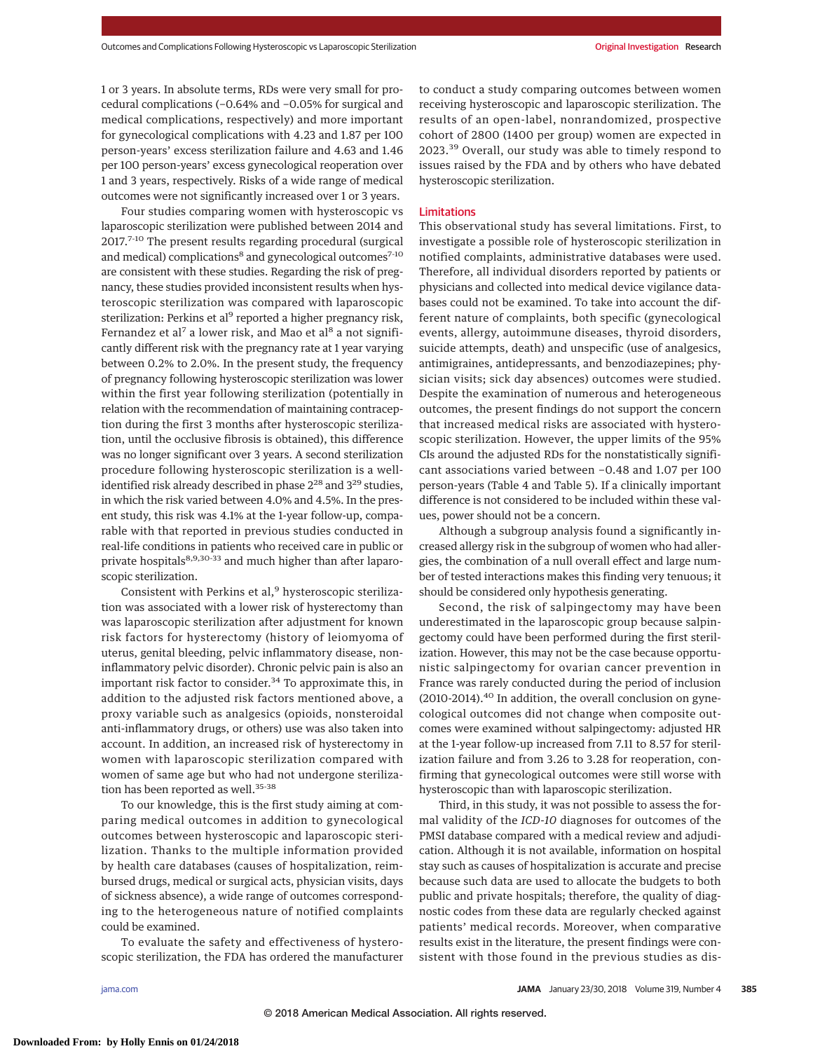1 or 3 years. In absolute terms, RDs were very small for procedural complications (−0.64% and −0.05% for surgical and medical complications, respectively) and more important for gynecological complications with 4.23 and 1.87 per 100 person-years' excess sterilization failure and 4.63 and 1.46 per 100 person-years' excess gynecological reoperation over 1 and 3 years, respectively. Risks of a wide range of medical outcomes were not significantly increased over 1 or 3 years.

Four studies comparing women with hysteroscopic vs laparoscopic sterilization were published between 2014 and 2017.<sup>7-10</sup> The present results regarding procedural (surgical and medical) complications<sup>8</sup> and gynecological outcomes<sup>7-10</sup> are consistent with these studies. Regarding the risk of pregnancy, these studies provided inconsistent results when hysteroscopic sterilization was compared with laparoscopic sterilization: Perkins et al<sup>9</sup> reported a higher pregnancy risk, Fernandez et al<sup>7</sup> a lower risk, and Mao et al<sup>8</sup> a not significantly different risk with the pregnancy rate at 1 year varying between 0.2% to 2.0%. In the present study, the frequency of pregnancy following hysteroscopic sterilization was lower within the first year following sterilization (potentially in relation with the recommendation of maintaining contraception during the first 3 months after hysteroscopic sterilization, until the occlusive fibrosis is obtained), this difference was no longer significant over 3 years. A second sterilization procedure following hysteroscopic sterilization is a wellidentified risk already described in phase 2<sup>28</sup> and 3<sup>29</sup> studies, in which the risk varied between 4.0% and 4.5%. In the present study, this risk was 4.1% at the 1-year follow-up, comparable with that reported in previous studies conducted in real-life conditions in patients who received care in public or private hospitals<sup>8,9,30-33</sup> and much higher than after laparoscopic sterilization.

Consistent with Perkins et al,<sup>9</sup> hysteroscopic sterilization was associated with a lower risk of hysterectomy than was laparoscopic sterilization after adjustment for known risk factors for hysterectomy (history of leiomyoma of uterus, genital bleeding, pelvic inflammatory disease, noninflammatory pelvic disorder). Chronic pelvic pain is also an important risk factor to consider.<sup>34</sup> To approximate this, in addition to the adjusted risk factors mentioned above, a proxy variable such as analgesics (opioids, nonsteroidal anti-inflammatory drugs, or others) use was also taken into account. In addition, an increased risk of hysterectomy in women with laparoscopic sterilization compared with women of same age but who had not undergone sterilization has been reported as well.<sup>35-38</sup>

To our knowledge, this is the first study aiming at comparing medical outcomes in addition to gynecological outcomes between hysteroscopic and laparoscopic sterilization. Thanks to the multiple information provided by health care databases (causes of hospitalization, reimbursed drugs, medical or surgical acts, physician visits, days of sickness absence), a wide range of outcomes corresponding to the heterogeneous nature of notified complaints could be examined.

To evaluate the safety and effectiveness of hysteroscopic sterilization, the FDA has ordered the manufacturer to conduct a study comparing outcomes between women receiving hysteroscopic and laparoscopic sterilization. The results of an open-label, nonrandomized, prospective cohort of 2800 (1400 per group) women are expected in 2023.<sup>39</sup> Overall, our study was able to timely respond to issues raised by the FDA and by others who have debated hysteroscopic sterilization.

# Limitations

This observational study has several limitations. First, to investigate a possible role of hysteroscopic sterilization in notified complaints, administrative databases were used. Therefore, all individual disorders reported by patients or physicians and collected into medical device vigilance databases could not be examined. To take into account the different nature of complaints, both specific (gynecological events, allergy, autoimmune diseases, thyroid disorders, suicide attempts, death) and unspecific (use of analgesics, antimigraines, antidepressants, and benzodiazepines; physician visits; sick day absences) outcomes were studied. Despite the examination of numerous and heterogeneous outcomes, the present findings do not support the concern that increased medical risks are associated with hysteroscopic sterilization. However, the upper limits of the 95% CIs around the adjusted RDs for the nonstatistically significant associations varied between −0.48 and 1.07 per 100 person-years (Table 4 and Table 5). If a clinically important difference is not considered to be included within these values, power should not be a concern.

Although a subgroup analysis found a significantly increased allergy risk in the subgroup of women who had allergies, the combination of a null overall effect and large number of tested interactions makes this finding very tenuous; it should be considered only hypothesis generating.

Second, the risk of salpingectomy may have been underestimated in the laparoscopic group because salpingectomy could have been performed during the first sterilization. However, this may not be the case because opportunistic salpingectomy for ovarian cancer prevention in France was rarely conducted during the period of inclusion (2010-2014).<sup>40</sup> In addition, the overall conclusion on gynecological outcomes did not change when composite outcomes were examined without salpingectomy: adjusted HR at the 1-year follow-up increased from 7.11 to 8.57 for sterilization failure and from 3.26 to 3.28 for reoperation, confirming that gynecological outcomes were still worse with hysteroscopic than with laparoscopic sterilization.

Third, in this study, it was not possible to assess the formal validity of the *ICD-10* diagnoses for outcomes of the PMSI database compared with a medical review and adjudication. Although it is not available, information on hospital stay such as causes of hospitalization is accurate and precise because such data are used to allocate the budgets to both public and private hospitals; therefore, the quality of diagnostic codes from these data are regularly checked against patients' medical records. Moreover, when comparative results exist in the literature, the present findings were consistent with those found in the previous studies as dis-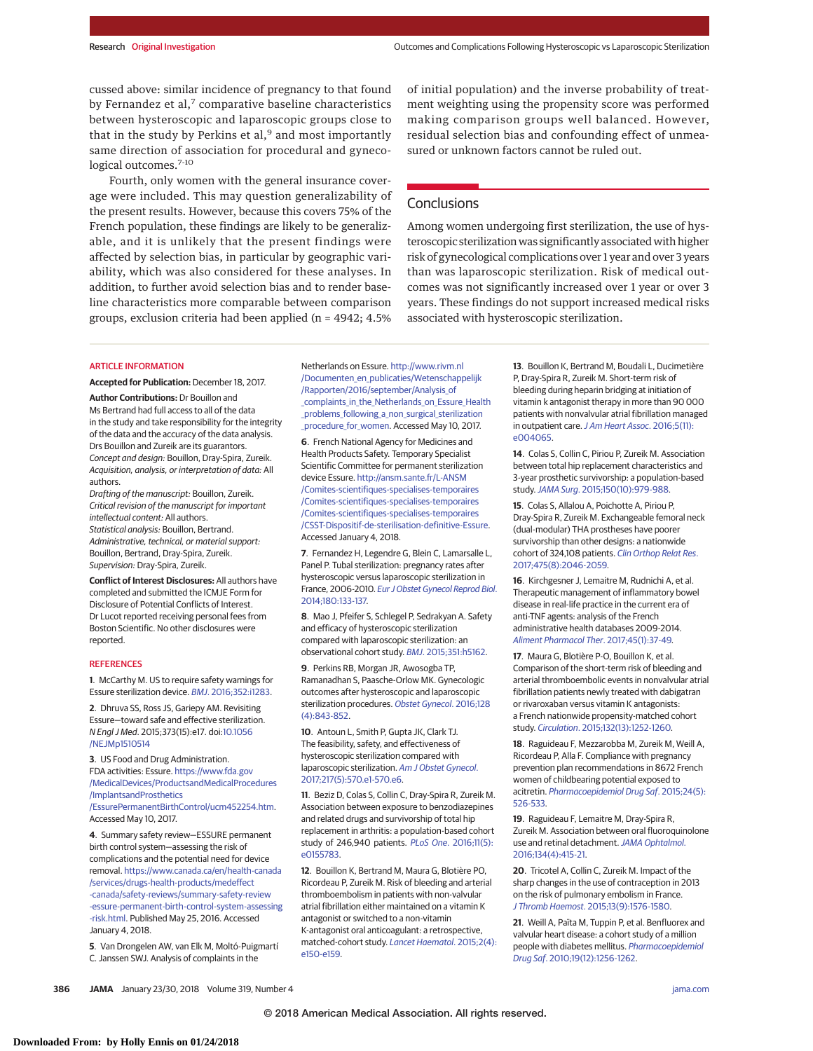cussed above: similar incidence of pregnancy to that found by Fernandez et al, $<sup>7</sup>$  comparative baseline characteristics</sup> between hysteroscopic and laparoscopic groups close to that in the study by Perkins et al, $9$  and most importantly same direction of association for procedural and gynecological outcomes.<sup>7-10</sup>

Fourth, only women with the general insurance coverage were included. This may question generalizability of the present results. However, because this covers 75% of the French population, these findings are likely to be generalizable, and it is unlikely that the present findings were affected by selection bias, in particular by geographic variability, which was also considered for these analyses. In addition, to further avoid selection bias and to render baseline characteristics more comparable between comparison groups, exclusion criteria had been applied (n = 4942; 4.5%

#### ARTICLE INFORMATION

**Accepted for Publication:** December 18, 2017.

**Author Contributions:** Dr Bouillon and Ms Bertrand had full access to all of the data in the study and take responsibility for the integrity of the data and the accuracy of the data analysis. Drs Bouillon and Zureik are its guarantors. Concept and design: Bouillon, Dray-Spira, Zureik. Acquisition, analysis, or interpretation of data: All authors.

Drafting of the manuscript: Bouillon, Zureik. Critical revision of the manuscript for important intellectual content: All authors. Statistical analysis: Bouillon, Bertrand. Administrative, technical, or material support: Bouillon, Bertrand, Dray-Spira, Zureik. Supervision: Dray-Spira, Zureik.

**Conflict of Interest Disclosures:** All authors have completed and submitted the ICMJE Form for Disclosure of Potential Conflicts of Interest. Dr Lucot reported receiving personal fees from Boston Scientific. No other disclosures were reported.

#### REFERENCES

**1**. McCarthy M. US to require safety warnings for Essure sterilization device. BMJ. 2016;352:i1283.

**2**. Dhruva SS, Ross JS, Gariepy AM. Revisiting Essure—toward safe and effective sterilization. N Engl J Med. 2015;373(15):e17. doi:10.1056 /NEJMp1510514

**3**. US Food and Drug Administration. FDA activities: Essure. https://www.fda.gov /MedicalDevices/ProductsandMedicalProcedures /ImplantsandProsthetics

/EssurePermanentBirthControl/ucm452254.htm. Accessed May 10, 2017.

**4**. Summary safety review—ESSURE permanent birth control system—assessing the risk of complications and the potential need for device removal. https://www.canada.ca/en/health-canada /services/drugs-health-products/medeffect -canada/safety-reviews/summary-safety-review -essure-permanent-birth-control-system-assessing -risk.html. Published May 25, 2016. Accessed January 4, 2018.

**5**. Van Drongelen AW, van Elk M, Moltó-Puigmartí C. Janssen SWJ. Analysis of complaints in the

of initial population) and the inverse probability of treatment weighting using the propensity score was performed making comparison groups well balanced. However, residual selection bias and confounding effect of unmeasured or unknown factors cannot be ruled out.

## **Conclusions**

Among women undergoing first sterilization, the use of hysteroscopic sterilization was significantly associated with higher risk of gynecological complications over 1 year and over 3 years than was laparoscopic sterilization. Risk of medical outcomes was not significantly increased over 1 year or over 3 years. These findings do not support increased medical risks associated with hysteroscopic sterilization.

Netherlands on Essure. http://www.rivm.nl /Documenten\_en\_publicaties/Wetenschappelijk /Rapporten/2016/september/Analysis\_of \_complaints\_in\_the\_Netherlands\_on\_Essure\_Health problems following a non surgical sterilization \_procedure\_for\_women. Accessed May 10, 2017.

**6**. French National Agency for Medicines and Health Products Safety. Temporary Specialist Scientific Committee for permanent sterilization device Essure. http://ansm.sante.fr/L-ANSM /Comites-scientifiques-specialises-temporaires /Comites-scientifiques-specialises-temporaires /Comites-scientifiques-specialises-temporaires /CSST-Dispositif-de-sterilisation-definitive-Essure. Accessed January 4, 2018.

**7**. Fernandez H, Legendre G, Blein C, Lamarsalle L, Panel P. Tubal sterilization: pregnancy rates after hysteroscopic versus laparoscopic sterilization in France, 2006-2010. Eur J Obstet Gynecol Reprod Biol. 2014;180:133-137.

**8**. Mao J, Pfeifer S, Schlegel P, Sedrakyan A. Safety and efficacy of hysteroscopic sterilization compared with laparoscopic sterilization: an observational cohort study. BMJ. 2015;351:h5162.

**9**. Perkins RB, Morgan JR, Awosogba TP, Ramanadhan S, Paasche-Orlow MK. Gynecologic outcomes after hysteroscopic and laparoscopic sterilization procedures. Obstet Gynecol. 2016;128 (4):843-852.

**10**. Antoun L, Smith P, Gupta JK, Clark TJ. The feasibility, safety, and effectiveness of hysteroscopic sterilization compared with laparoscopic sterilization. Am J Obstet Gynecol. 2017;217(5):570.e1-570.e6.

**11**. Beziz D, Colas S, Collin C, Dray-Spira R, Zureik M. Association between exposure to benzodiazepines and related drugs and survivorship of total hip replacement in arthritis: a population-based cohort study of 246,940 patients. PLoS One. 2016;11(5): e0155783.

**12**. Bouillon K, Bertrand M, Maura G, Blotière PO, Ricordeau P, Zureik M. Risk of bleeding and arterial thromboembolism in patients with non-valvular atrial fibrillation either maintained on a vitamin K antagonist or switched to a non-vitamin K-antagonist oral anticoagulant: a retrospective, matched-cohort study. Lancet Haematol. 2015;2(4): e150-e159.

**13**. Bouillon K, Bertrand M, Boudali L, Ducimetière P, Dray-Spira R, Zureik M. Short-term risk of bleeding during heparin bridging at initiation of vitamin k antagonist therapy in more than 90 000 patients with nonvalvular atrial fibrillation managed in outpatient care. J Am Heart Assoc. 2016;5(11): e004065.

**14.** Colas S, Collin C, Piriou P, Zureik M. Association between total hip replacement characteristics and 3-year prosthetic survivorship: a population-based study.JAMA Surg. 2015;150(10):979-988.

**15**. Colas S, Allalou A, Poichotte A, Piriou P, Dray-Spira R, Zureik M. Exchangeable femoral neck (dual-modular) THA prostheses have poorer survivorship than other designs: a nationwide cohort of 324,108 patients. Clin Orthop Relat Res. 2017;475(8):2046-2059.

**16**. Kirchgesner J, Lemaitre M, Rudnichi A, et al. Therapeutic management of inflammatory bowel disease in real-life practice in the current era of anti-TNF agents: analysis of the French administrative health databases 2009-2014. Aliment Pharmacol Ther. 2017;45(1):37-49.

**17**. Maura G, Blotière P-O, Bouillon K, et al. Comparison of the short-term risk of bleeding and arterial thromboembolic events in nonvalvular atrial fibrillation patients newly treated with dabigatran or rivaroxaban versus vitamin K antagonists: a French nationwide propensity-matched cohort study. Circulation. 2015;132(13):1252-1260.

**18**. Raguideau F, Mezzarobba M, Zureik M, Weill A, Ricordeau P, Alla F. Compliance with pregnancy prevention plan recommendations in 8672 French women of childbearing potential exposed to acitretin. Pharmacoepidemiol Drug Saf. 2015;24(5): 526-533.

**19**. Raguideau F, Lemaitre M, Dray-Spira R, Zureik M. Association between oral fluoroquinolone use and retinal detachment.JAMA Ophtalmol. 2016;134(4):415-21.

**20**. Tricotel A, Collin C, Zureik M. Impact of the sharp changes in the use of contraception in 2013 on the risk of pulmonary embolism in France. J Thromb Haemost. 2015;13(9):1576-1580.

**21**. Weill A, Païta M, Tuppin P, et al. Benfluorex and valvular heart disease: a cohort study of a million people with diabetes mellitus. Pharmacoepidemiol Drug Saf. 2010;19(12):1256-1262.